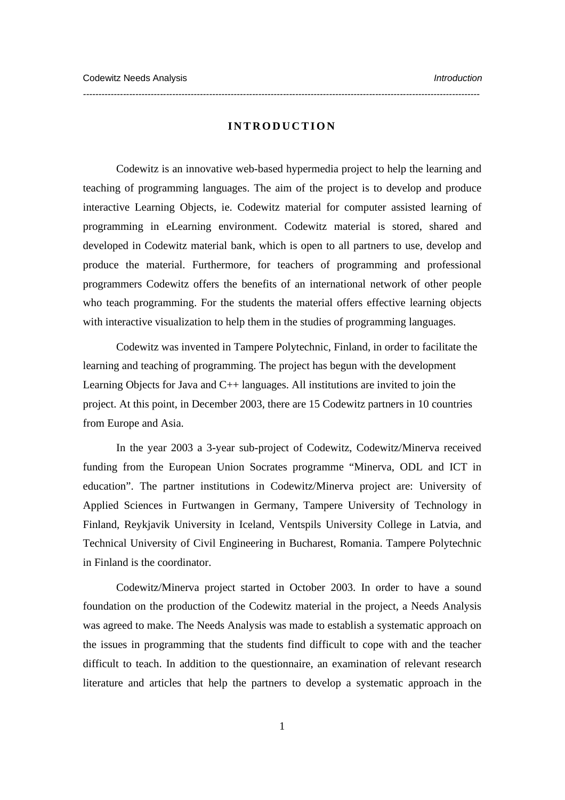## **INTRODUCTION**

*---------------------------------------------------------------------------------------------------------------------------------* 

Codewitz is an innovative web-based hypermedia project to help the learning and teaching of programming languages. The aim of the project is to develop and produce interactive Learning Objects, ie. Codewitz material for computer assisted learning of programming in eLearning environment. Codewitz material is stored, shared and developed in Codewitz material bank, which is open to all partners to use, develop and produce the material. Furthermore, for teachers of programming and professional programmers Codewitz offers the benefits of an international network of other people who teach programming. For the students the material offers effective learning objects with interactive visualization to help them in the studies of programming languages.

Codewitz was invented in Tampere Polytechnic, Finland, in order to facilitate the learning and teaching of programming. The project has begun with the development Learning Objects for Java and  $C_{++}$  languages. All institutions are invited to join the project. At this point, in December 2003, there are 15 Codewitz partners in 10 countries from Europe and Asia.

In the year 2003 a 3-year sub-project of Codewitz, Codewitz/Minerva received funding from the European Union Socrates programme "Minerva, ODL and ICT in education". The partner institutions in Codewitz/Minerva project are: University of Applied Sciences in Furtwangen in Germany, Tampere University of Technology in Finland, Reykjavik University in Iceland, Ventspils University College in Latvia, and Technical University of Civil Engineering in Bucharest, Romania. Tampere Polytechnic in Finland is the coordinator.

 Codewitz/Minerva project started in October 2003. In order to have a sound foundation on the production of the Codewitz material in the project, a Needs Analysis was agreed to make. The Needs Analysis was made to establish a systematic approach on the issues in programming that the students find difficult to cope with and the teacher difficult to teach. In addition to the questionnaire, an examination of relevant research literature and articles that help the partners to develop a systematic approach in the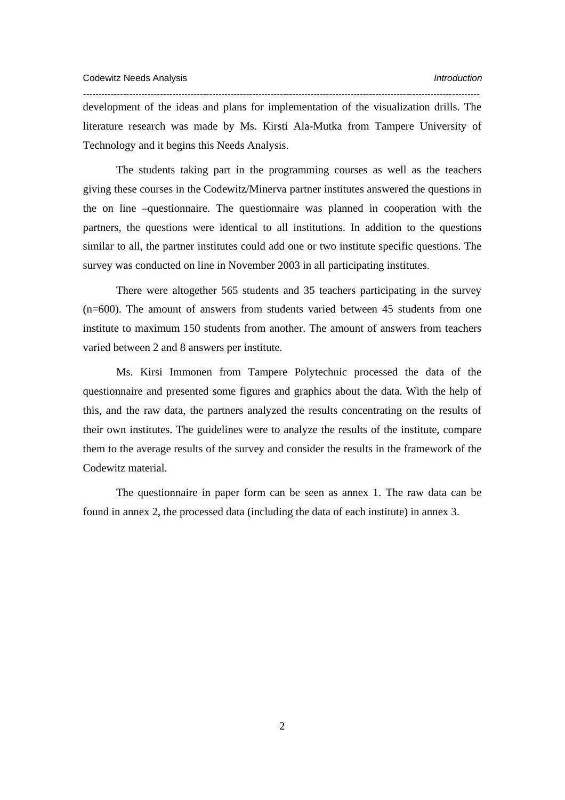development of the ideas and plans for implementation of the visualization drills. The literature research was made by Ms. Kirsti Ala-Mutka from Tampere University of Technology and it begins this Needs Analysis.

*---------------------------------------------------------------------------------------------------------------------------------* 

The students taking part in the programming courses as well as the teachers giving these courses in the Codewitz/Minerva partner institutes answered the questions in the on line –questionnaire. The questionnaire was planned in cooperation with the partners, the questions were identical to all institutions. In addition to the questions similar to all, the partner institutes could add one or two institute specific questions. The survey was conducted on line in November 2003 in all participating institutes.

 There were altogether 565 students and 35 teachers participating in the survey (n=600). The amount of answers from students varied between 45 students from one institute to maximum 150 students from another. The amount of answers from teachers varied between 2 and 8 answers per institute.

 Ms. Kirsi Immonen from Tampere Polytechnic processed the data of the questionnaire and presented some figures and graphics about the data. With the help of this, and the raw data, the partners analyzed the results concentrating on the results of their own institutes. The guidelines were to analyze the results of the institute, compare them to the average results of the survey and consider the results in the framework of the Codewitz material.

 The questionnaire in paper form can be seen as annex 1. The raw data can be found in annex 2, the processed data (including the data of each institute) in annex 3.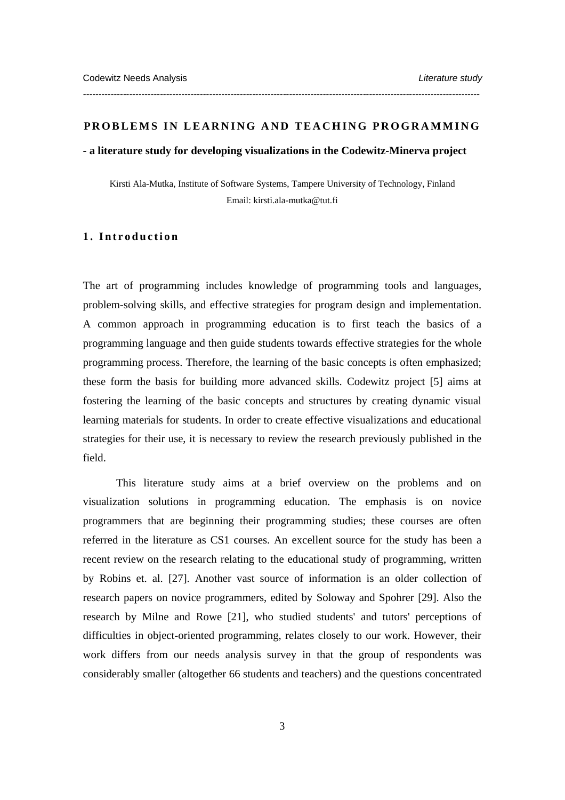#### **PROBLEMS IN LEARNING AND TEACHING PROGRAMMING**

*---------------------------------------------------------------------------------------------------------------------------------* 

## **- a literature study for developing visualizations in the Codewitz-Minerva project**

Kirsti Ala-Mutka, Institute of Software Systems, Tampere University of Technology, Finland Email: kirsti.ala-mutka@tut.fi

## **1. Introduction**

The art of programming includes knowledge of programming tools and languages, problem-solving skills, and effective strategies for program design and implementation. A common approach in programming education is to first teach the basics of a programming language and then guide students towards effective strategies for the whole programming process. Therefore, the learning of the basic concepts is often emphasized; these form the basis for building more advanced skills. Codewitz project [5] aims at fostering the learning of the basic concepts and structures by creating dynamic visual learning materials for students. In order to create effective visualizations and educational strategies for their use, it is necessary to review the research previously published in the field.

This literature study aims at a brief overview on the problems and on visualization solutions in programming education. The emphasis is on novice programmers that are beginning their programming studies; these courses are often referred in the literature as CS1 courses. An excellent source for the study has been a recent review on the research relating to the educational study of programming, written by Robins et. al. [27]. Another vast source of information is an older collection of research papers on novice programmers, edited by Soloway and Spohrer [29]. Also the research by Milne and Rowe [21], who studied students' and tutors' perceptions of difficulties in object-oriented programming, relates closely to our work. However, their work differs from our needs analysis survey in that the group of respondents was considerably smaller (altogether 66 students and teachers) and the questions concentrated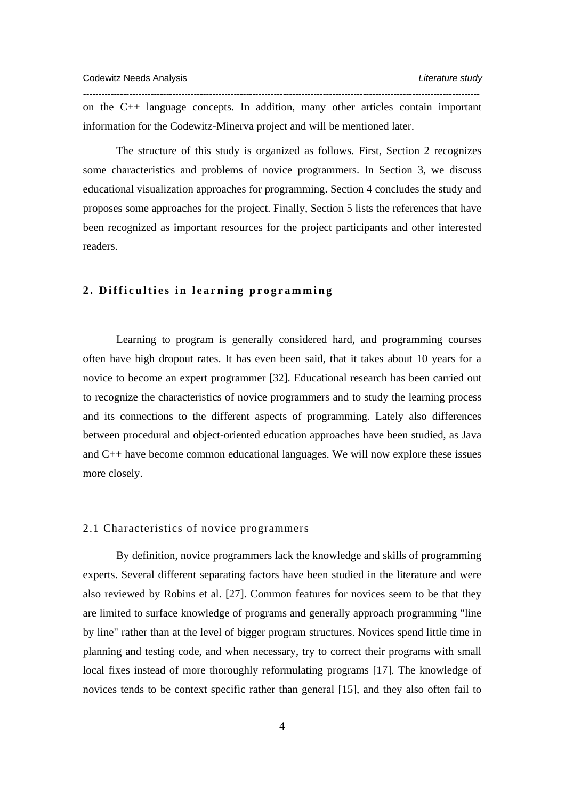on the C++ language concepts. In addition, many other articles contain important information for the Codewitz-Minerva project and will be mentioned later.

*---------------------------------------------------------------------------------------------------------------------------------* 

The structure of this study is organized as follows. First, Section 2 recognizes some characteristics and problems of novice programmers. In Section 3, we discuss educational visualization approaches for programming. Section 4 concludes the study and proposes some approaches for the project. Finally, Section 5 lists the references that have been recognized as important resources for the project participants and other interested readers.

# **2. Difficulties in learning programming**

Learning to program is generally considered hard, and programming courses often have high dropout rates. It has even been said, that it takes about 10 years for a novice to become an expert programmer [32]. Educational research has been carried out to recognize the characteristics of novice programmers and to study the learning process and its connections to the different aspects of programming. Lately also differences between procedural and object-oriented education approaches have been studied, as Java and C++ have become common educational languages. We will now explore these issues more closely.

# 2.1 Characteristics of novice programmers

By definition, novice programmers lack the knowledge and skills of programming experts. Several different separating factors have been studied in the literature and were also reviewed by Robins et al. [27]. Common features for novices seem to be that they are limited to surface knowledge of programs and generally approach programming "line by line" rather than at the level of bigger program structures. Novices spend little time in planning and testing code, and when necessary, try to correct their programs with small local fixes instead of more thoroughly reformulating programs [17]. The knowledge of novices tends to be context specific rather than general [15], and they also often fail to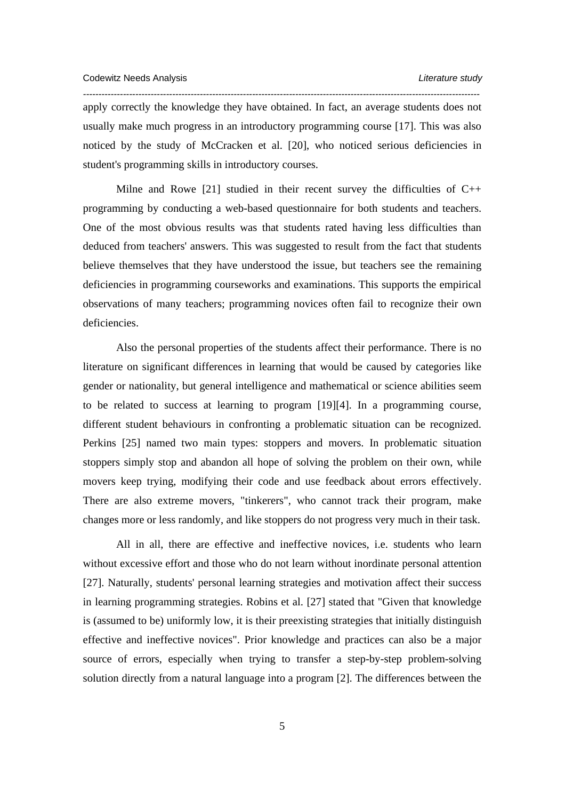apply correctly the knowledge they have obtained. In fact, an average students does not usually make much progress in an introductory programming course [17]. This was also noticed by the study of McCracken et al. [20], who noticed serious deficiencies in student's programming skills in introductory courses.

*---------------------------------------------------------------------------------------------------------------------------------* 

Milne and Rowe [21] studied in their recent survey the difficulties of  $C_{++}$ programming by conducting a web-based questionnaire for both students and teachers. One of the most obvious results was that students rated having less difficulties than deduced from teachers' answers. This was suggested to result from the fact that students believe themselves that they have understood the issue, but teachers see the remaining deficiencies in programming courseworks and examinations. This supports the empirical observations of many teachers; programming novices often fail to recognize their own deficiencies.

Also the personal properties of the students affect their performance. There is no literature on significant differences in learning that would be caused by categories like gender or nationality, but general intelligence and mathematical or science abilities seem to be related to success at learning to program [19][4]. In a programming course, different student behaviours in confronting a problematic situation can be recognized. Perkins [25] named two main types: stoppers and movers. In problematic situation stoppers simply stop and abandon all hope of solving the problem on their own, while movers keep trying, modifying their code and use feedback about errors effectively. There are also extreme movers, "tinkerers", who cannot track their program, make changes more or less randomly, and like stoppers do not progress very much in their task.

All in all, there are effective and ineffective novices, i.e. students who learn without excessive effort and those who do not learn without inordinate personal attention [27]. Naturally, students' personal learning strategies and motivation affect their success in learning programming strategies. Robins et al. [27] stated that "Given that knowledge is (assumed to be) uniformly low, it is their preexisting strategies that initially distinguish effective and ineffective novices". Prior knowledge and practices can also be a major source of errors, especially when trying to transfer a step-by-step problem-solving solution directly from a natural language into a program [2]. The differences between the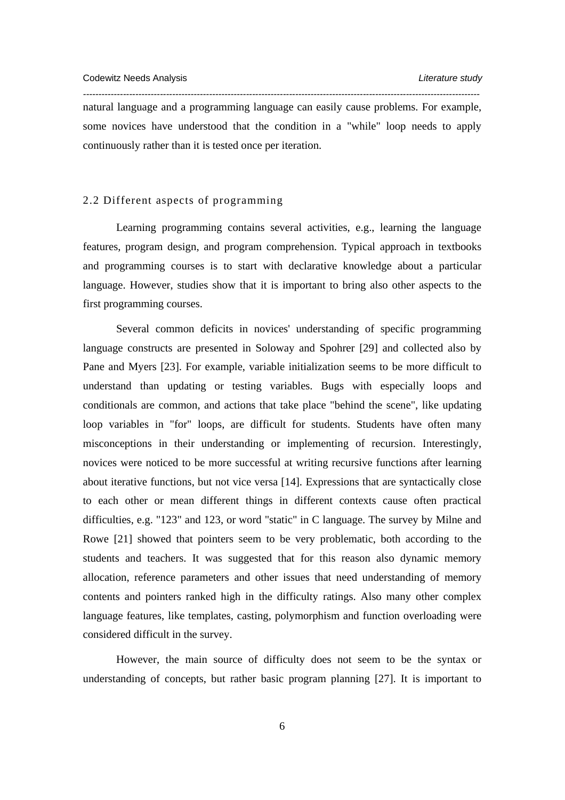natural language and a programming language can easily cause problems. For example, some novices have understood that the condition in a "while" loop needs to apply continuously rather than it is tested once per iteration.

*---------------------------------------------------------------------------------------------------------------------------------* 

# 2.2 Different aspects of programming

Learning programming contains several activities, e.g., learning the language features, program design, and program comprehension. Typical approach in textbooks and programming courses is to start with declarative knowledge about a particular language. However, studies show that it is important to bring also other aspects to the first programming courses.

Several common deficits in novices' understanding of specific programming language constructs are presented in Soloway and Spohrer [29] and collected also by Pane and Myers [23]. For example, variable initialization seems to be more difficult to understand than updating or testing variables. Bugs with especially loops and conditionals are common, and actions that take place "behind the scene", like updating loop variables in "for" loops, are difficult for students. Students have often many misconceptions in their understanding or implementing of recursion. Interestingly, novices were noticed to be more successful at writing recursive functions after learning about iterative functions, but not vice versa [14]. Expressions that are syntactically close to each other or mean different things in different contexts cause often practical difficulties, e.g. "123" and 123, or word "static" in C language. The survey by Milne and Rowe [21] showed that pointers seem to be very problematic, both according to the students and teachers. It was suggested that for this reason also dynamic memory allocation, reference parameters and other issues that need understanding of memory contents and pointers ranked high in the difficulty ratings. Also many other complex language features, like templates, casting, polymorphism and function overloading were considered difficult in the survey.

However, the main source of difficulty does not seem to be the syntax or understanding of concepts, but rather basic program planning [27]. It is important to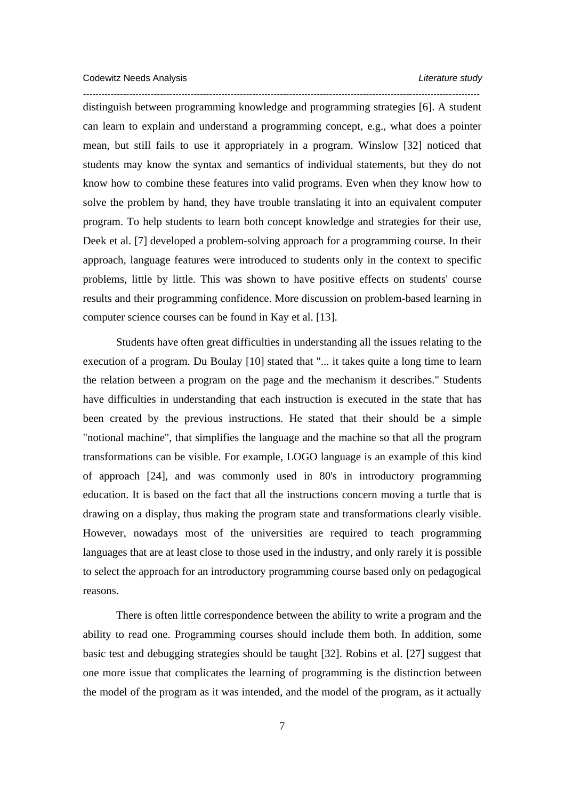*--------------------------------------------------------------------------------------------------------------------------------*  distinguish between programming knowledge and programming strategies [6]. A student can learn to explain and understand a programming concept, e.g., what does a pointer mean, but still fails to use it appropriately in a program. Winslow [32] noticed that students may know the syntax and semantics of individual statements, but they do not know how to combine these features into valid programs. Even when they know how to solve the problem by hand, they have trouble translating it into an equivalent computer program. To help students to learn both concept knowledge and strategies for their use, Deek et al. [7] developed a problem-solving approach for a programming course. In their approach, language features were introduced to students only in the context to specific problems, little by little. This was shown to have positive effects on students' course results and their programming confidence. More discussion on problem-based learning in computer science courses can be found in Kay et al. [13].

Students have often great difficulties in understanding all the issues relating to the execution of a program. Du Boulay [10] stated that "... it takes quite a long time to learn the relation between a program on the page and the mechanism it describes." Students have difficulties in understanding that each instruction is executed in the state that has been created by the previous instructions. He stated that their should be a simple "notional machine", that simplifies the language and the machine so that all the program transformations can be visible. For example, LOGO language is an example of this kind of approach [24], and was commonly used in 80's in introductory programming education. It is based on the fact that all the instructions concern moving a turtle that is drawing on a display, thus making the program state and transformations clearly visible. However, nowadays most of the universities are required to teach programming languages that are at least close to those used in the industry, and only rarely it is possible to select the approach for an introductory programming course based only on pedagogical reasons.

There is often little correspondence between the ability to write a program and the ability to read one. Programming courses should include them both. In addition, some basic test and debugging strategies should be taught [32]. Robins et al. [27] suggest that one more issue that complicates the learning of programming is the distinction between the model of the program as it was intended, and the model of the program, as it actually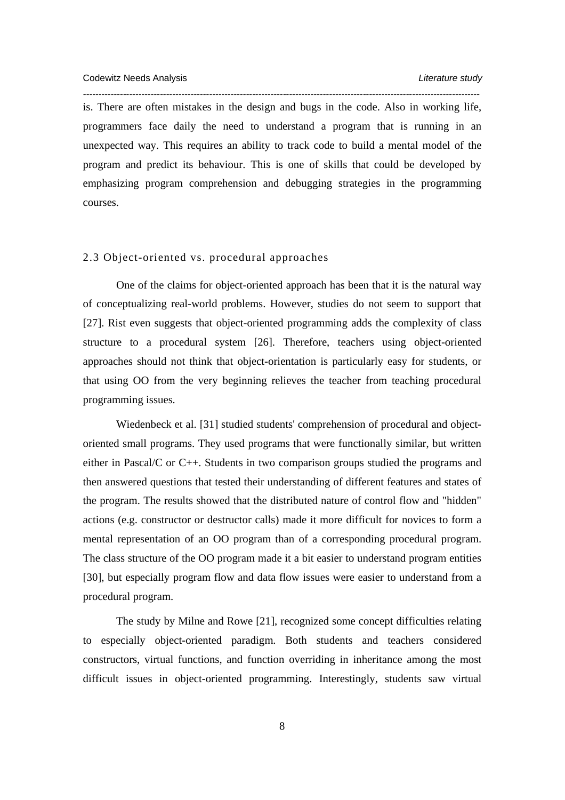is. There are often mistakes in the design and bugs in the code. Also in working life, programmers face daily the need to understand a program that is running in an unexpected way. This requires an ability to track code to build a mental model of the program and predict its behaviour. This is one of skills that could be developed by emphasizing program comprehension and debugging strategies in the programming courses.

*---------------------------------------------------------------------------------------------------------------------------------* 

## 2.3 Object-oriented vs. procedural approaches

One of the claims for object-oriented approach has been that it is the natural way of conceptualizing real-world problems. However, studies do not seem to support that [27]. Rist even suggests that object-oriented programming adds the complexity of class structure to a procedural system [26]. Therefore, teachers using object-oriented approaches should not think that object-orientation is particularly easy for students, or that using OO from the very beginning relieves the teacher from teaching procedural programming issues.

Wiedenbeck et al. [31] studied students' comprehension of procedural and objectoriented small programs. They used programs that were functionally similar, but written either in Pascal/C or C++. Students in two comparison groups studied the programs and then answered questions that tested their understanding of different features and states of the program. The results showed that the distributed nature of control flow and "hidden" actions (e.g. constructor or destructor calls) made it more difficult for novices to form a mental representation of an OO program than of a corresponding procedural program. The class structure of the OO program made it a bit easier to understand program entities [30], but especially program flow and data flow issues were easier to understand from a procedural program.

The study by Milne and Rowe [21], recognized some concept difficulties relating to especially object-oriented paradigm. Both students and teachers considered constructors, virtual functions, and function overriding in inheritance among the most difficult issues in object-oriented programming. Interestingly, students saw virtual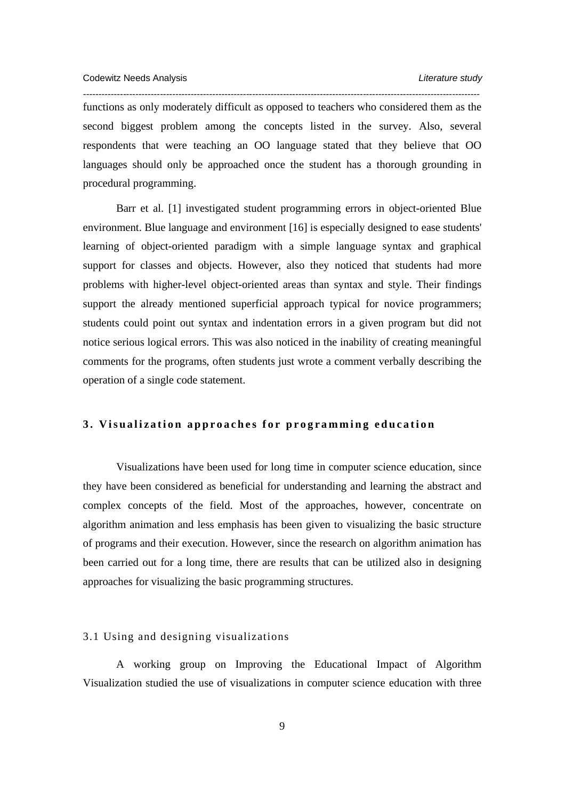*--------------------------------------------------------------------------------------------------------------------------------*  functions as only moderately difficult as opposed to teachers who considered them as the second biggest problem among the concepts listed in the survey. Also, several respondents that were teaching an OO language stated that they believe that OO languages should only be approached once the student has a thorough grounding in procedural programming.

Barr et al. [1] investigated student programming errors in object-oriented Blue environment. Blue language and environment [16] is especially designed to ease students' learning of object-oriented paradigm with a simple language syntax and graphical support for classes and objects. However, also they noticed that students had more problems with higher-level object-oriented areas than syntax and style. Their findings support the already mentioned superficial approach typical for novice programmers; students could point out syntax and indentation errors in a given program but did not notice serious logical errors. This was also noticed in the inability of creating meaningful comments for the programs, often students just wrote a comment verbally describing the operation of a single code statement.

## **3. Visualization approaches for programming education**

Visualizations have been used for long time in computer science education, since they have been considered as beneficial for understanding and learning the abstract and complex concepts of the field. Most of the approaches, however, concentrate on algorithm animation and less emphasis has been given to visualizing the basic structure of programs and their execution. However, since the research on algorithm animation has been carried out for a long time, there are results that can be utilized also in designing approaches for visualizing the basic programming structures.

#### 3.1 Using and designing visualizations

A working group on Improving the Educational Impact of Algorithm Visualization studied the use of visualizations in computer science education with three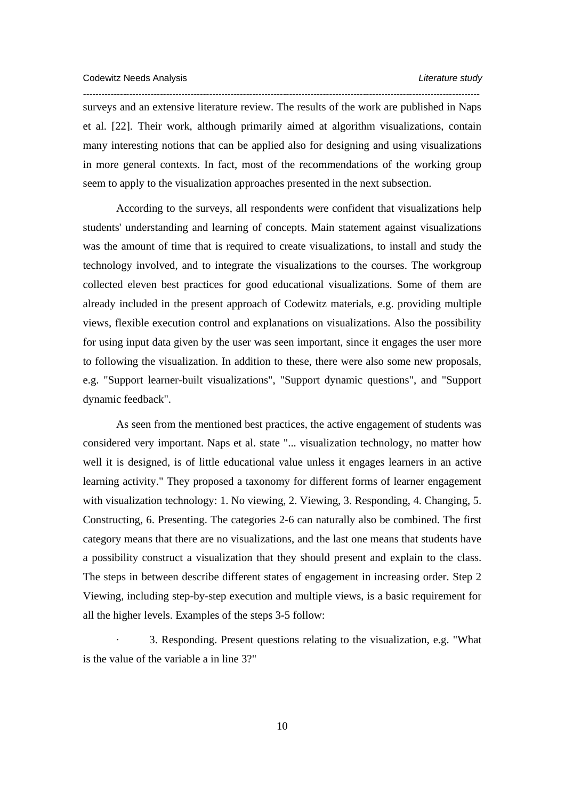surveys and an extensive literature review. The results of the work are published in Naps et al. [22]. Their work, although primarily aimed at algorithm visualizations, contain many interesting notions that can be applied also for designing and using visualizations in more general contexts. In fact, most of the recommendations of the working group seem to apply to the visualization approaches presented in the next subsection.

*---------------------------------------------------------------------------------------------------------------------------------* 

According to the surveys, all respondents were confident that visualizations help students' understanding and learning of concepts. Main statement against visualizations was the amount of time that is required to create visualizations, to install and study the technology involved, and to integrate the visualizations to the courses. The workgroup collected eleven best practices for good educational visualizations. Some of them are already included in the present approach of Codewitz materials, e.g. providing multiple views, flexible execution control and explanations on visualizations. Also the possibility for using input data given by the user was seen important, since it engages the user more to following the visualization. In addition to these, there were also some new proposals, e.g. "Support learner-built visualizations", "Support dynamic questions", and "Support dynamic feedback".

As seen from the mentioned best practices, the active engagement of students was considered very important. Naps et al. state "... visualization technology, no matter how well it is designed, is of little educational value unless it engages learners in an active learning activity." They proposed a taxonomy for different forms of learner engagement with visualization technology: 1. No viewing, 2. Viewing, 3. Responding, 4. Changing, 5. Constructing, 6. Presenting. The categories 2-6 can naturally also be combined. The first category means that there are no visualizations, and the last one means that students have a possibility construct a visualization that they should present and explain to the class. The steps in between describe different states of engagement in increasing order. Step 2 Viewing, including step-by-step execution and multiple views, is a basic requirement for all the higher levels. Examples of the steps 3-5 follow:

3. Responding. Present questions relating to the visualization, e.g. "What is the value of the variable a in line 3?"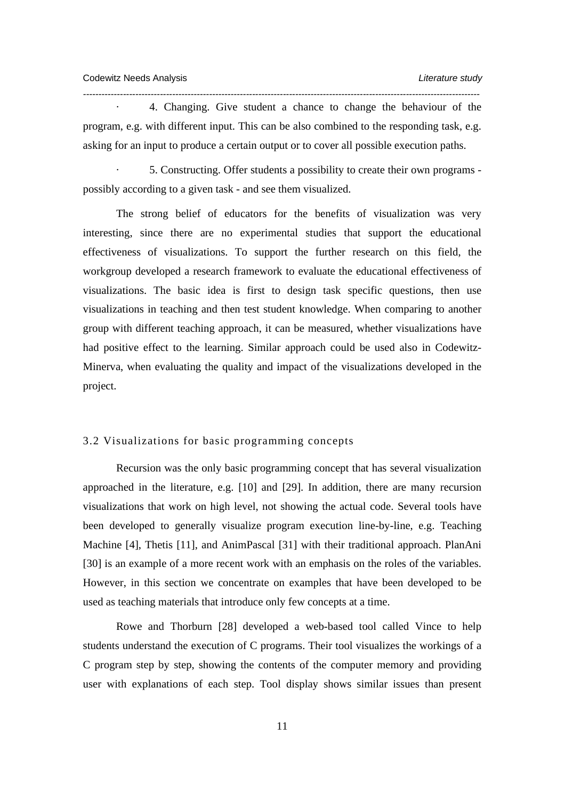· 4. Changing. Give student a chance to change the behaviour of the program, e.g. with different input. This can be also combined to the responding task, e.g. asking for an input to produce a certain output or to cover all possible execution paths.

*---------------------------------------------------------------------------------------------------------------------------------* 

· 5. Constructing. Offer students a possibility to create their own programs possibly according to a given task - and see them visualized.

The strong belief of educators for the benefits of visualization was very interesting, since there are no experimental studies that support the educational effectiveness of visualizations. To support the further research on this field, the workgroup developed a research framework to evaluate the educational effectiveness of visualizations. The basic idea is first to design task specific questions, then use visualizations in teaching and then test student knowledge. When comparing to another group with different teaching approach, it can be measured, whether visualizations have had positive effect to the learning. Similar approach could be used also in Codewitz-Minerva, when evaluating the quality and impact of the visualizations developed in the project.

# 3.2 Visualizations for basic programming concepts

Recursion was the only basic programming concept that has several visualization approached in the literature, e.g. [10] and [29]. In addition, there are many recursion visualizations that work on high level, not showing the actual code. Several tools have been developed to generally visualize program execution line-by-line, e.g. Teaching Machine [4], Thetis [11], and AnimPascal [31] with their traditional approach. PlanAni [30] is an example of a more recent work with an emphasis on the roles of the variables. However, in this section we concentrate on examples that have been developed to be used as teaching materials that introduce only few concepts at a time.

Rowe and Thorburn [28] developed a web-based tool called Vince to help students understand the execution of C programs. Their tool visualizes the workings of a C program step by step, showing the contents of the computer memory and providing user with explanations of each step. Tool display shows similar issues than present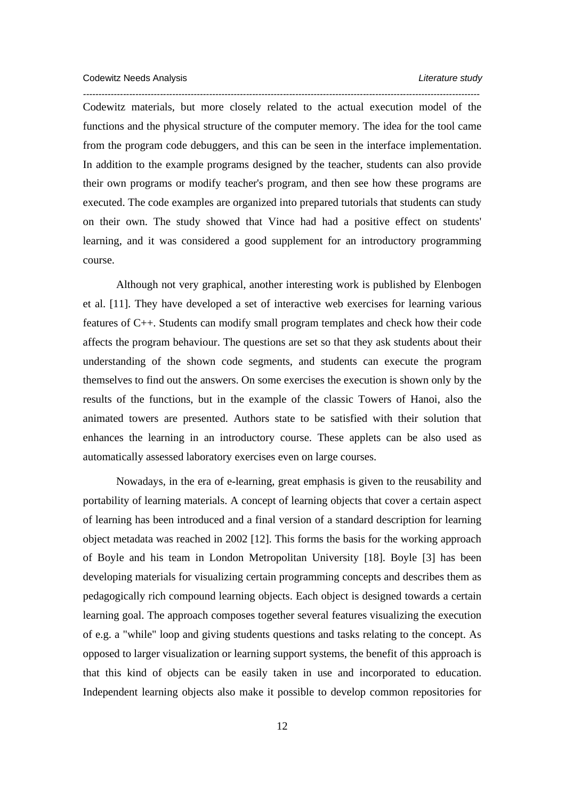*---------------------------------------------------------------------------------------------------------------------------------*  Codewitz materials, but more closely related to the actual execution model of the functions and the physical structure of the computer memory. The idea for the tool came from the program code debuggers, and this can be seen in the interface implementation. In addition to the example programs designed by the teacher, students can also provide their own programs or modify teacher's program, and then see how these programs are executed. The code examples are organized into prepared tutorials that students can study on their own. The study showed that Vince had had a positive effect on students' learning, and it was considered a good supplement for an introductory programming course.

Although not very graphical, another interesting work is published by Elenbogen et al. [11]. They have developed a set of interactive web exercises for learning various features of C++. Students can modify small program templates and check how their code affects the program behaviour. The questions are set so that they ask students about their understanding of the shown code segments, and students can execute the program themselves to find out the answers. On some exercises the execution is shown only by the results of the functions, but in the example of the classic Towers of Hanoi, also the animated towers are presented. Authors state to be satisfied with their solution that enhances the learning in an introductory course. These applets can be also used as automatically assessed laboratory exercises even on large courses.

Nowadays, in the era of e-learning, great emphasis is given to the reusability and portability of learning materials. A concept of learning objects that cover a certain aspect of learning has been introduced and a final version of a standard description for learning object metadata was reached in 2002 [12]. This forms the basis for the working approach of Boyle and his team in London Metropolitan University [18]. Boyle [3] has been developing materials for visualizing certain programming concepts and describes them as pedagogically rich compound learning objects. Each object is designed towards a certain learning goal. The approach composes together several features visualizing the execution of e.g. a "while" loop and giving students questions and tasks relating to the concept. As opposed to larger visualization or learning support systems, the benefit of this approach is that this kind of objects can be easily taken in use and incorporated to education. Independent learning objects also make it possible to develop common repositories for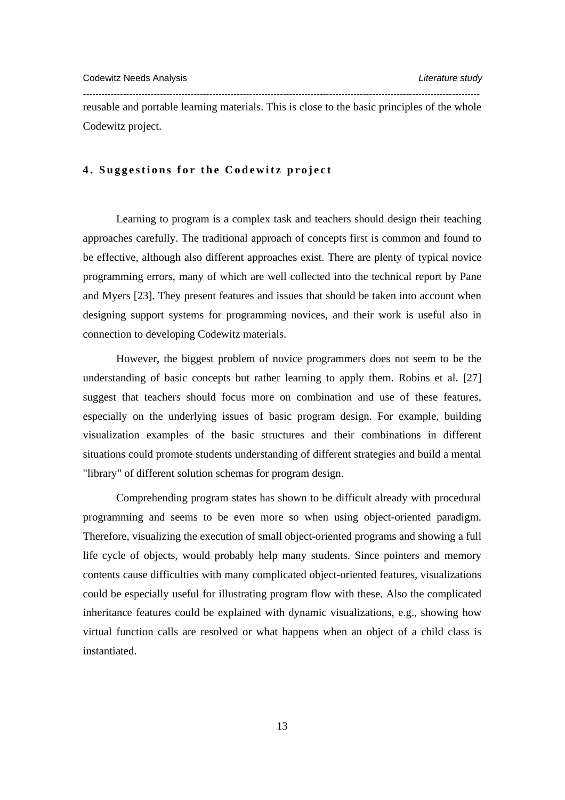reusable and portable learning materials. This is close to the basic principles of the whole Codewitz project.

*---------------------------------------------------------------------------------------------------------------------------------* 

#### **4. Suggestions for the Codewitz project**

Learning to program is a complex task and teachers should design their teaching approaches carefully. The traditional approach of concepts first is common and found to be effective, although also different approaches exist. There are plenty of typical novice programming errors, many of which are well collected into the technical report by Pane and Myers [23]. They present features and issues that should be taken into account when designing support systems for programming novices, and their work is useful also in connection to developing Codewitz materials.

However, the biggest problem of novice programmers does not seem to be the understanding of basic concepts but rather learning to apply them. Robins et al. [27] suggest that teachers should focus more on combination and use of these features, especially on the underlying issues of basic program design. For example, building visualization examples of the basic structures and their combinations in different situations could promote students understanding of different strategies and build a mental "library" of different solution schemas for program design.

Comprehending program states has shown to be difficult already with procedural programming and seems to be even more so when using object-oriented paradigm. Therefore, visualizing the execution of small object-oriented programs and showing a full life cycle of objects, would probably help many students. Since pointers and memory contents cause difficulties with many complicated object-oriented features, visualizations could be especially useful for illustrating program flow with these. Also the complicated inheritance features could be explained with dynamic visualizations, e.g., showing how virtual function calls are resolved or what happens when an object of a child class is instantiated.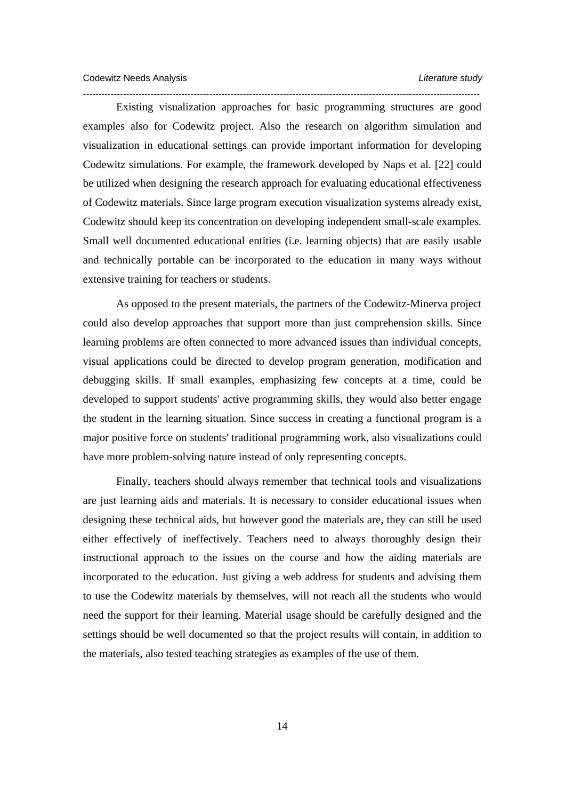*---------------------------------------------------------------------------------------------------------------------------------*  Existing visualization approaches for basic programming structures are good examples also for Codewitz project. Also the research on algorithm simulation and visualization in educational settings can provide important information for developing Codewitz simulations. For example, the framework developed by Naps et al. [22] could be utilized when designing the research approach for evaluating educational effectiveness of Codewitz materials. Since large program execution visualization systems already exist, Codewitz should keep its concentration on developing independent small-scale examples. Small well documented educational entities (i.e. learning objects) that are easily usable and technically portable can be incorporated to the education in many ways without extensive training for teachers or students.

As opposed to the present materials, the partners of the Codewitz-Minerva project could also develop approaches that support more than just comprehension skills. Since learning problems are often connected to more advanced issues than individual concepts, visual applications could be directed to develop program generation, modification and debugging skills. If small examples, emphasizing few concepts at a time, could be developed to support students' active programming skills, they would also better engage the student in the learning situation. Since success in creating a functional program is a major positive force on students' traditional programming work, also visualizations could have more problem-solving nature instead of only representing concepts.

Finally, teachers should always remember that technical tools and visualizations are just learning aids and materials. It is necessary to consider educational issues when designing these technical aids, but however good the materials are, they can still be used either effectively of ineffectively. Teachers need to always thoroughly design their instructional approach to the issues on the course and how the aiding materials are incorporated to the education. Just giving a web address for students and advising them to use the Codewitz materials by themselves, will not reach all the students who would need the support for their learning. Material usage should be carefully designed and the settings should be well documented so that the project results will contain, in addition to the materials, also tested teaching strategies as examples of the use of them.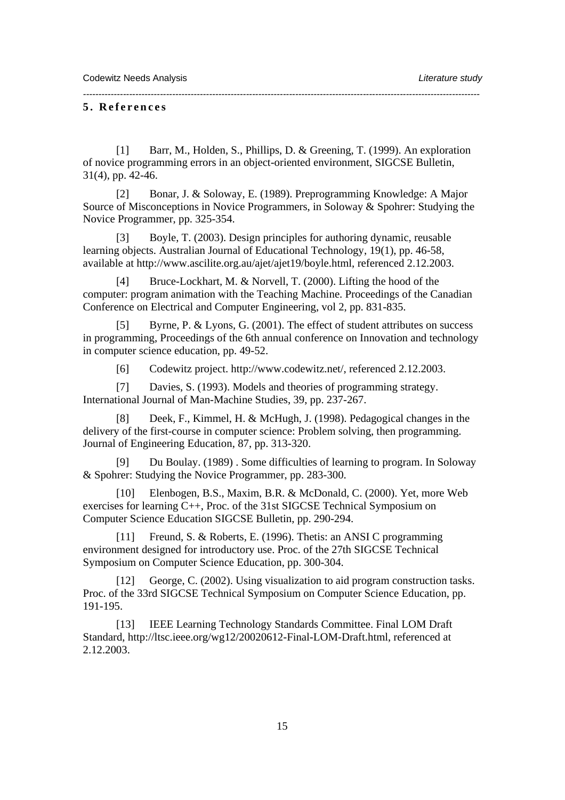#### **5. References**

[1] Barr, M., Holden, S., Phillips, D. & Greening, T. (1999). An exploration of novice programming errors in an object-oriented environment, SIGCSE Bulletin, 31(4), pp. 42-46.

*---------------------------------------------------------------------------------------------------------------------------------* 

[2] Bonar, J. & Soloway, E. (1989). Preprogramming Knowledge: A Major Source of Misconceptions in Novice Programmers, in Soloway & Spohrer: Studying the Novice Programmer, pp. 325-354.

[3] Boyle, T. (2003). Design principles for authoring dynamic, reusable learning objects. Australian Journal of Educational Technology, 19(1), pp. 46-58, available at http://www.ascilite.org.au/ajet/ajet19/boyle.html, referenced 2.12.2003.

[4] Bruce-Lockhart, M. & Norvell, T. (2000). Lifting the hood of the computer: program animation with the Teaching Machine. Proceedings of the Canadian Conference on Electrical and Computer Engineering, vol 2, pp. 831-835.

[5] Byrne, P. & Lyons, G. (2001). The effect of student attributes on success in programming, Proceedings of the 6th annual conference on Innovation and technology in computer science education, pp. 49-52.

[6] Codewitz project. http://www.codewitz.net/, referenced 2.12.2003.

[7] Davies, S. (1993). Models and theories of programming strategy. International Journal of Man-Machine Studies, 39, pp. 237-267.

Deek, F., Kimmel, H. & McHugh, J. (1998). Pedagogical changes in the delivery of the first-course in computer science: Problem solving, then programming. Journal of Engineering Education, 87, pp. 313-320.

[9] Du Boulay. (1989) . Some difficulties of learning to program. In Soloway & Spohrer: Studying the Novice Programmer, pp. 283-300.

[10] Elenbogen, B.S., Maxim, B.R. & McDonald, C. (2000). Yet, more Web exercises for learning C++, Proc. of the 31st SIGCSE Technical Symposium on Computer Science Education SIGCSE Bulletin, pp. 290-294.

[11] Freund, S. & Roberts, E. (1996). Thetis: an ANSI C programming environment designed for introductory use. Proc. of the 27th SIGCSE Technical Symposium on Computer Science Education, pp. 300-304.

[12] George, C. (2002). Using visualization to aid program construction tasks. Proc. of the 33rd SIGCSE Technical Symposium on Computer Science Education, pp. 191-195.

[13] IEEE Learning Technology Standards Committee. Final LOM Draft Standard, http://ltsc.ieee.org/wg12/20020612-Final-LOM-Draft.html, referenced at 2.12.2003.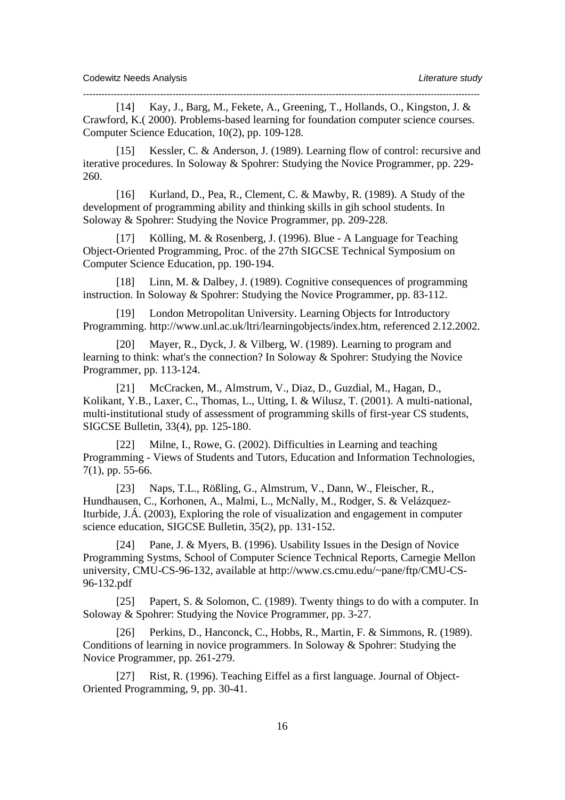[14] Kay, J., Barg, M., Fekete, A., Greening, T., Hollands, O., Kingston, J. & Crawford, K.( 2000). Problems-based learning for foundation computer science courses. Computer Science Education, 10(2), pp. 109-128.

*---------------------------------------------------------------------------------------------------------------------------------* 

[15] Kessler, C. & Anderson, J. (1989). Learning flow of control: recursive and iterative procedures. In Soloway & Spohrer: Studying the Novice Programmer, pp. 229- 260.

[16] Kurland, D., Pea, R., Clement, C. & Mawby, R. (1989). A Study of the development of programming ability and thinking skills in gih school students. In Soloway & Spohrer: Studying the Novice Programmer, pp. 209-228.

[17] Kölling, M. & Rosenberg, J. (1996). Blue - A Language for Teaching Object-Oriented Programming, Proc. of the 27th SIGCSE Technical Symposium on Computer Science Education, pp. 190-194.

[18] Linn, M. & Dalbey, J. (1989). Cognitive consequences of programming instruction. In Soloway & Spohrer: Studying the Novice Programmer, pp. 83-112.

[19] London Metropolitan University. Learning Objects for Introductory Programming. http://www.unl.ac.uk/ltri/learningobjects/index.htm, referenced 2.12.2002.

[20] Mayer, R., Dyck, J. & Vilberg, W. (1989). Learning to program and learning to think: what's the connection? In Soloway & Spohrer: Studying the Novice Programmer, pp. 113-124.

[21] McCracken, M., Almstrum, V., Diaz, D., Guzdial, M., Hagan, D., Kolikant, Y.B., Laxer, C., Thomas, L., Utting, I. & Wilusz, T. (2001). A multi-national, multi-institutional study of assessment of programming skills of first-year CS students, SIGCSE Bulletin, 33(4), pp. 125-180.

[22] Milne, I., Rowe, G. (2002). Difficulties in Learning and teaching Programming - Views of Students and Tutors, Education and Information Technologies, 7(1), pp. 55-66.

[23] Naps, T.L., Rößling, G., Almstrum, V., Dann, W., Fleischer, R., Hundhausen, C., Korhonen, A., Malmi, L., McNally, M., Rodger, S. & Velázquez-Iturbide, J.Á. (2003), Exploring the role of visualization and engagement in computer science education, SIGCSE Bulletin, 35(2), pp. 131-152.

[24] Pane, J. & Myers, B. (1996). Usability Issues in the Design of Novice Programming Systms, School of Computer Science Technical Reports, Carnegie Mellon university, CMU-CS-96-132, available at http://www.cs.cmu.edu/~pane/ftp/CMU-CS-96-132.pdf

[25] Papert, S. & Solomon, C. (1989). Twenty things to do with a computer. In Soloway & Spohrer: Studying the Novice Programmer, pp. 3-27.

[26] Perkins, D., Hanconck, C., Hobbs, R., Martin, F. & Simmons, R. (1989). Conditions of learning in novice programmers. In Soloway & Spohrer: Studying the Novice Programmer, pp. 261-279.

[27] Rist, R. (1996). Teaching Eiffel as a first language. Journal of Object-Oriented Programming, 9, pp. 30-41.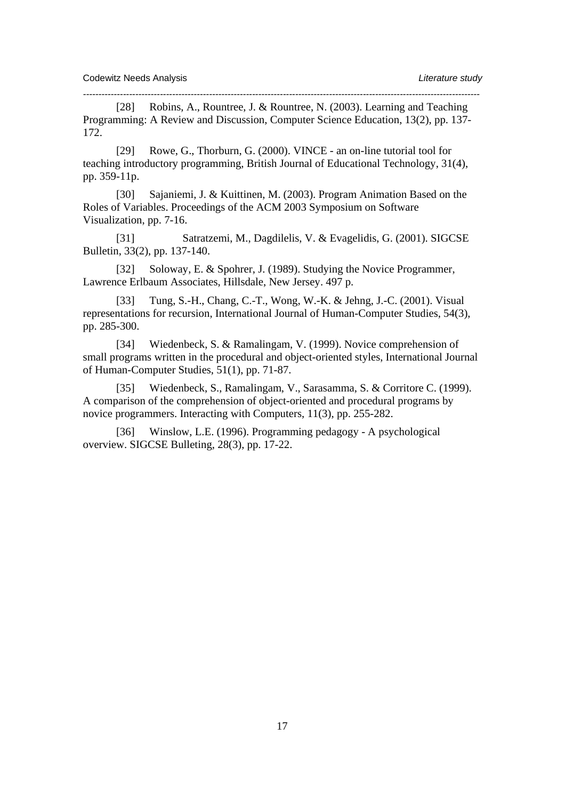[28] Robins, A., Rountree, J. & Rountree, N. (2003). Learning and Teaching Programming: A Review and Discussion, Computer Science Education, 13(2), pp. 137- 172.

*---------------------------------------------------------------------------------------------------------------------------------* 

[29] Rowe, G., Thorburn, G. (2000). VINCE - an on-line tutorial tool for teaching introductory programming, British Journal of Educational Technology, 31(4), pp. 359-11p.

[30] Sajaniemi, J. & Kuittinen, M. (2003). Program Animation Based on the Roles of Variables. Proceedings of the ACM 2003 Symposium on Software Visualization, pp. 7-16.

[31] Satratzemi, M., Dagdilelis, V. & Evagelidis, G. (2001). SIGCSE Bulletin, 33(2), pp. 137-140.

[32] Soloway, E. & Spohrer, J. (1989). Studying the Novice Programmer, Lawrence Erlbaum Associates, Hillsdale, New Jersey. 497 p.

[33] Tung, S.-H., Chang, C.-T., Wong, W.-K. & Jehng, J.-C. (2001). Visual representations for recursion, International Journal of Human-Computer Studies, 54(3), pp. 285-300.

[34] Wiedenbeck, S. & Ramalingam, V. (1999). Novice comprehension of small programs written in the procedural and object-oriented styles, International Journal of Human-Computer Studies, 51(1), pp. 71-87.

[35] Wiedenbeck, S., Ramalingam, V., Sarasamma, S. & Corritore C. (1999). A comparison of the comprehension of object-oriented and procedural programs by novice programmers. Interacting with Computers, 11(3), pp. 255-282.

[36] Winslow, L.E. (1996). Programming pedagogy - A psychological overview. SIGCSE Bulleting, 28(3), pp. 17-22.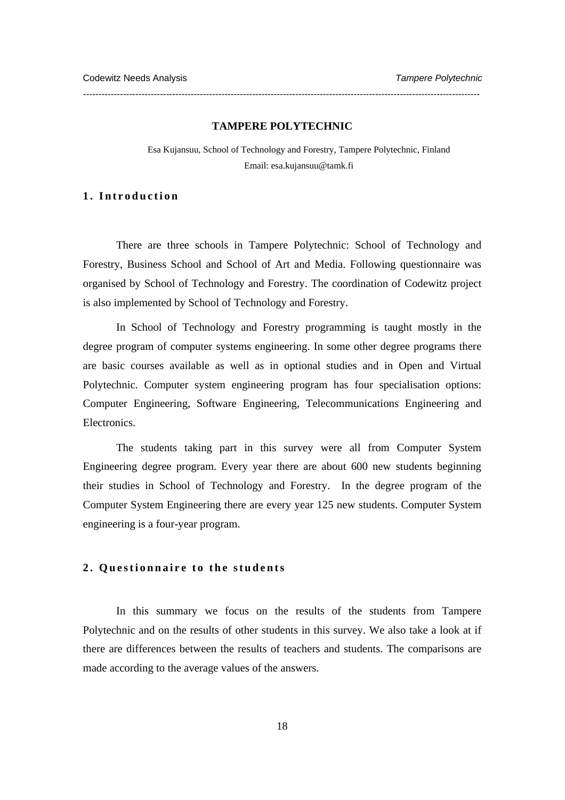#### **TAMPERE POLYTECHNIC**

*---------------------------------------------------------------------------------------------------------------------------------* 

Esa Kujansuu, School of Technology and Forestry, Tampere Polytechnic, Finland Email: esa.kujansuu@tamk.fi

# **1. Introduction**

There are three schools in Tampere Polytechnic: School of Technology and Forestry, Business School and School of Art and Media. Following questionnaire was organised by School of Technology and Forestry. The coordination of Codewitz project is also implemented by School of Technology and Forestry.

In School of Technology and Forestry programming is taught mostly in the degree program of computer systems engineering. In some other degree programs there are basic courses available as well as in optional studies and in Open and Virtual Polytechnic. Computer system engineering program has four specialisation options: Computer Engineering, Software Engineering, Telecommunications Engineering and Electronics.

The students taking part in this survey were all from Computer System Engineering degree program. Every year there are about 600 new students beginning their studies in School of Technology and Forestry. In the degree program of the Computer System Engineering there are every year 125 new students. Computer System engineering is a four-year program.

# **2. Questionnaire to the students**

In this summary we focus on the results of the students from Tampere Polytechnic and on the results of other students in this survey. We also take a look at if there are differences between the results of teachers and students. The comparisons are made according to the average values of the answers.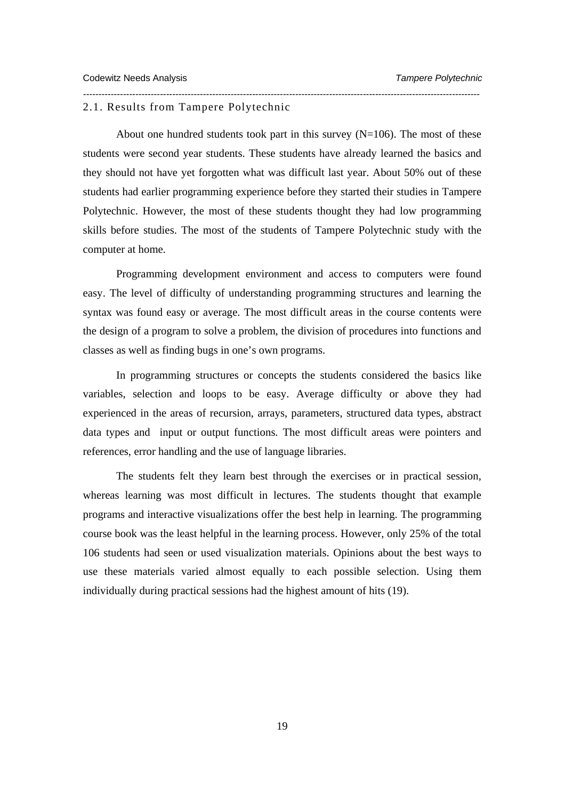#### 2.1. Results from Tampere Polytechnic

About one hundred students took part in this survey  $(N=106)$ . The most of these students were second year students. These students have already learned the basics and they should not have yet forgotten what was difficult last year. About 50% out of these students had earlier programming experience before they started their studies in Tampere Polytechnic. However, the most of these students thought they had low programming skills before studies. The most of the students of Tampere Polytechnic study with the computer at home.

*---------------------------------------------------------------------------------------------------------------------------------* 

Programming development environment and access to computers were found easy. The level of difficulty of understanding programming structures and learning the syntax was found easy or average. The most difficult areas in the course contents were the design of a program to solve a problem, the division of procedures into functions and classes as well as finding bugs in one's own programs.

In programming structures or concepts the students considered the basics like variables, selection and loops to be easy. Average difficulty or above they had experienced in the areas of recursion, arrays, parameters, structured data types, abstract data types and input or output functions. The most difficult areas were pointers and references, error handling and the use of language libraries.

The students felt they learn best through the exercises or in practical session, whereas learning was most difficult in lectures. The students thought that example programs and interactive visualizations offer the best help in learning. The programming course book was the least helpful in the learning process. However, only 25% of the total 106 students had seen or used visualization materials. Opinions about the best ways to use these materials varied almost equally to each possible selection. Using them individually during practical sessions had the highest amount of hits (19).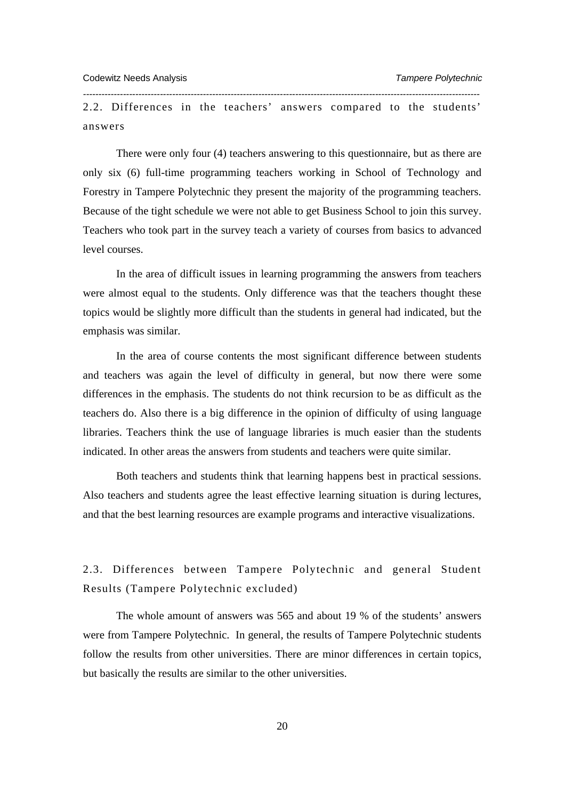2.2. Differences in the teachers' answers compared to the students' answers

*---------------------------------------------------------------------------------------------------------------------------------* 

There were only four (4) teachers answering to this questionnaire, but as there are only six (6) full-time programming teachers working in School of Technology and Forestry in Tampere Polytechnic they present the majority of the programming teachers. Because of the tight schedule we were not able to get Business School to join this survey. Teachers who took part in the survey teach a variety of courses from basics to advanced level courses.

In the area of difficult issues in learning programming the answers from teachers were almost equal to the students. Only difference was that the teachers thought these topics would be slightly more difficult than the students in general had indicated, but the emphasis was similar.

In the area of course contents the most significant difference between students and teachers was again the level of difficulty in general, but now there were some differences in the emphasis. The students do not think recursion to be as difficult as the teachers do. Also there is a big difference in the opinion of difficulty of using language libraries. Teachers think the use of language libraries is much easier than the students indicated. In other areas the answers from students and teachers were quite similar.

Both teachers and students think that learning happens best in practical sessions. Also teachers and students agree the least effective learning situation is during lectures, and that the best learning resources are example programs and interactive visualizations.

2.3. Differences between Tampere Polytechnic and general Student Results (Tampere Polytechnic excluded)

The whole amount of answers was 565 and about 19 % of the students' answers were from Tampere Polytechnic. In general, the results of Tampere Polytechnic students follow the results from other universities. There are minor differences in certain topics, but basically the results are similar to the other universities.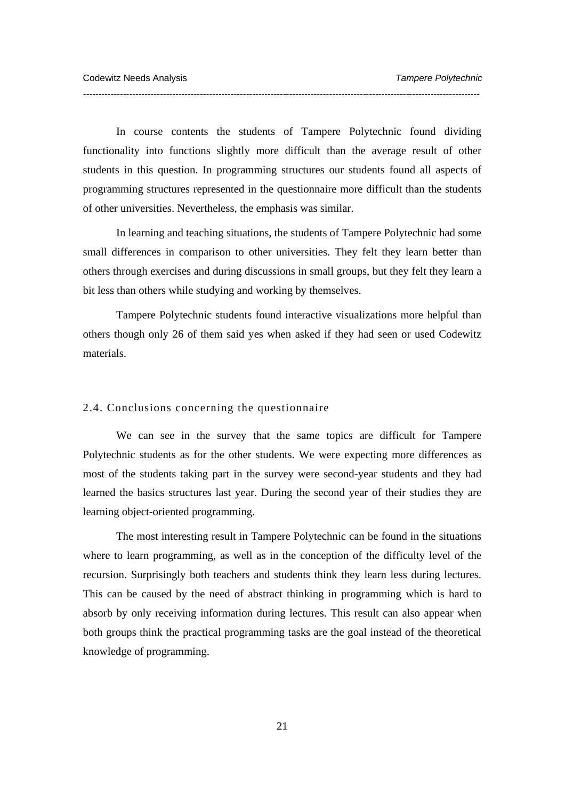In course contents the students of Tampere Polytechnic found dividing functionality into functions slightly more difficult than the average result of other students in this question. In programming structures our students found all aspects of programming structures represented in the questionnaire more difficult than the students of other universities. Nevertheless, the emphasis was similar.

*---------------------------------------------------------------------------------------------------------------------------------* 

In learning and teaching situations, the students of Tampere Polytechnic had some small differences in comparison to other universities. They felt they learn better than others through exercises and during discussions in small groups, but they felt they learn a bit less than others while studying and working by themselves.

Tampere Polytechnic students found interactive visualizations more helpful than others though only 26 of them said yes when asked if they had seen or used Codewitz materials.

#### 2.4. Conclusions concerning the questionnaire

We can see in the survey that the same topics are difficult for Tampere Polytechnic students as for the other students. We were expecting more differences as most of the students taking part in the survey were second-year students and they had learned the basics structures last year. During the second year of their studies they are learning object-oriented programming.

The most interesting result in Tampere Polytechnic can be found in the situations where to learn programming, as well as in the conception of the difficulty level of the recursion. Surprisingly both teachers and students think they learn less during lectures. This can be caused by the need of abstract thinking in programming which is hard to absorb by only receiving information during lectures. This result can also appear when both groups think the practical programming tasks are the goal instead of the theoretical knowledge of programming.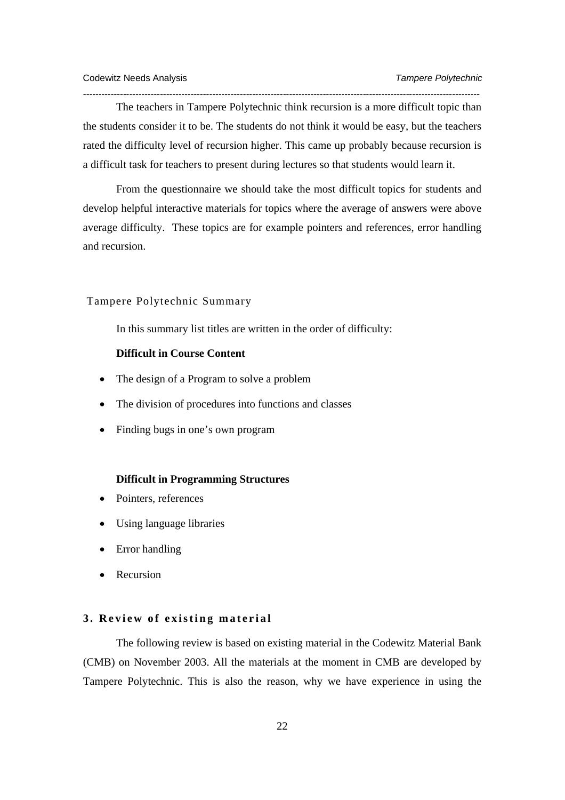The teachers in Tampere Polytechnic think recursion is a more difficult topic than the students consider it to be. The students do not think it would be easy, but the teachers rated the difficulty level of recursion higher. This came up probably because recursion is a difficult task for teachers to present during lectures so that students would learn it.

*---------------------------------------------------------------------------------------------------------------------------------* 

From the questionnaire we should take the most difficult topics for students and develop helpful interactive materials for topics where the average of answers were above average difficulty. These topics are for example pointers and references, error handling and recursion.

# Tampere Polytechnic Summary

In this summary list titles are written in the order of difficulty:

# **Difficult in Course Content**

- The design of a Program to solve a problem
- The division of procedures into functions and classes
- Finding bugs in one's own program

## **Difficult in Programming Structures**

- Pointers, references
- Using language libraries
- Error handling
- Recursion

## **3. Review of existing material**

The following review is based on existing material in the Codewitz Material Bank (CMB) on November 2003. All the materials at the moment in CMB are developed by Tampere Polytechnic. This is also the reason, why we have experience in using the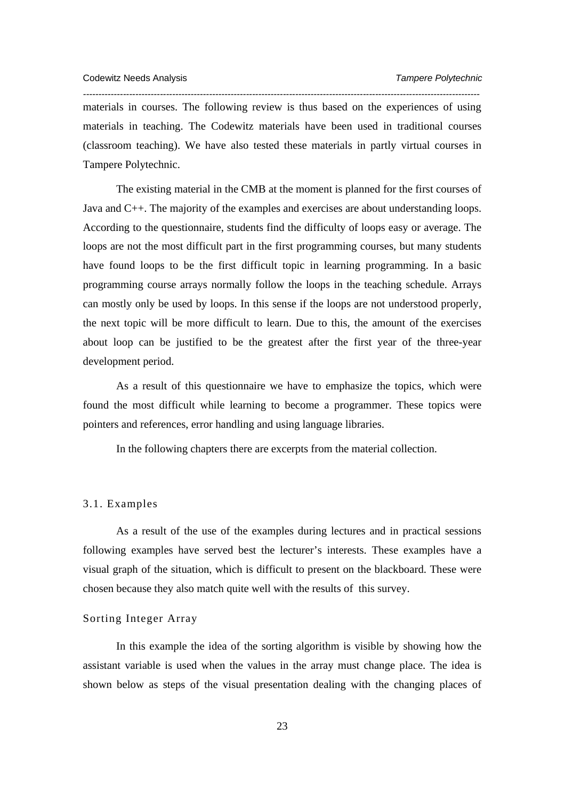materials in courses. The following review is thus based on the experiences of using materials in teaching. The Codewitz materials have been used in traditional courses (classroom teaching). We have also tested these materials in partly virtual courses in Tampere Polytechnic.

*---------------------------------------------------------------------------------------------------------------------------------* 

The existing material in the CMB at the moment is planned for the first courses of Java and C++. The majority of the examples and exercises are about understanding loops. According to the questionnaire, students find the difficulty of loops easy or average. The loops are not the most difficult part in the first programming courses, but many students have found loops to be the first difficult topic in learning programming. In a basic programming course arrays normally follow the loops in the teaching schedule. Arrays can mostly only be used by loops. In this sense if the loops are not understood properly, the next topic will be more difficult to learn. Due to this, the amount of the exercises about loop can be justified to be the greatest after the first year of the three-year development period.

As a result of this questionnaire we have to emphasize the topics, which were found the most difficult while learning to become a programmer. These topics were pointers and references, error handling and using language libraries.

In the following chapters there are excerpts from the material collection.

# 3.1. Examples

As a result of the use of the examples during lectures and in practical sessions following examples have served best the lecturer's interests. These examples have a visual graph of the situation, which is difficult to present on the blackboard. These were chosen because they also match quite well with the results of this survey.

# Sorting Integer Array

In this example the idea of the sorting algorithm is visible by showing how the assistant variable is used when the values in the array must change place. The idea is shown below as steps of the visual presentation dealing with the changing places of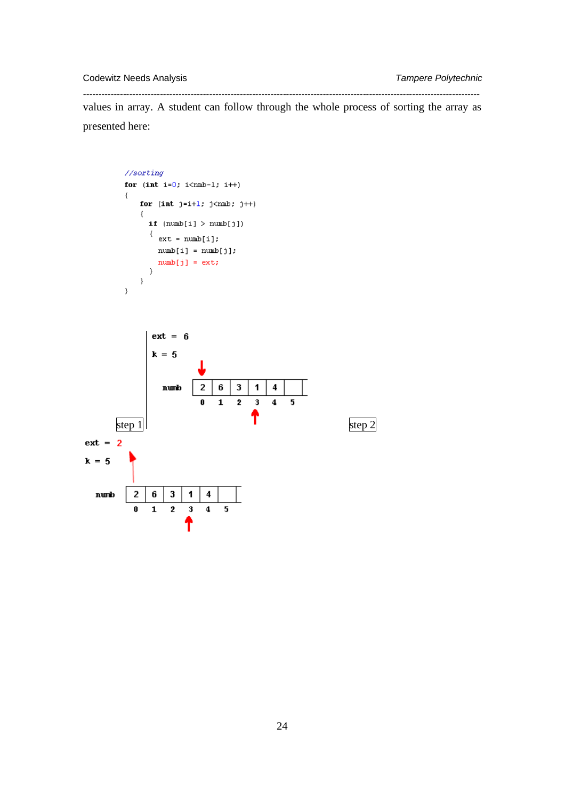Codewitz Needs Analysis *Tampere Polytechnic* 

 $\,$   $\,$ 

*--------------------------------------------------------------------------------------------------------------------------------*  values in array. A student can follow through the whole process of sorting the array as presented here:

```
// sortingfor (int i=0; i{<}nmb-1; i++)\{for (int j=i+1; j{m:b; j++)₹
      if (numb[i] > numb[j])\{ \begin{array}{ll} \texttt{\{ext = numb[i]};} \end{array}\texttt{numb[i]} = \texttt{numb[j];}numb[j] = ext;\}\}
```
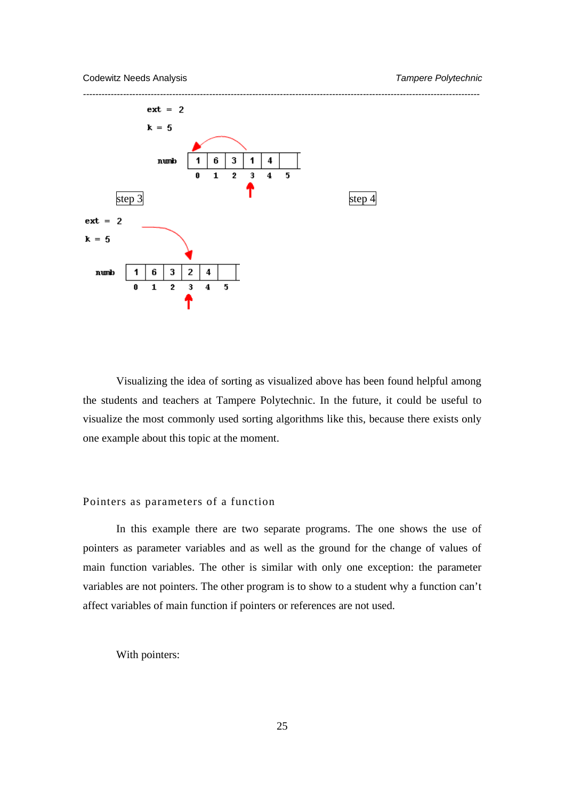

Visualizing the idea of sorting as visualized above has been found helpful among the students and teachers at Tampere Polytechnic. In the future, it could be useful to visualize the most commonly used sorting algorithms like this, because there exists only one example about this topic at the moment.

#### Pointers as parameters of a function

In this example there are two separate programs. The one shows the use of pointers as parameter variables and as well as the ground for the change of values of main function variables. The other is similar with only one exception: the parameter variables are not pointers. The other program is to show to a student why a function can't affect variables of main function if pointers or references are not used.

With pointers: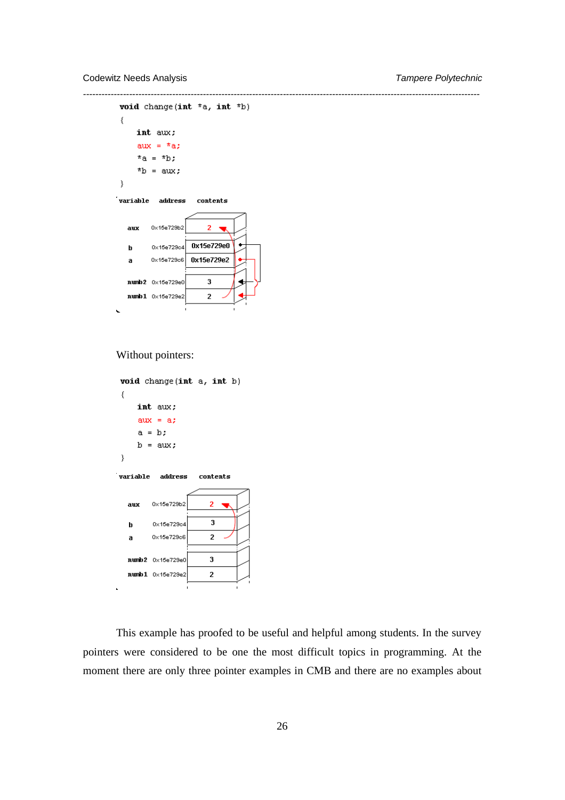Codewitz Needs Analysis *Tampere Polytechnic* 

```
--------------------------------------------------------------------------------------------------------------------------------- 
          void change(int *a, int *b)
          €
               int aux;
                aux = *a;
                *a = *b;nb = aux;\}variable address
                                   <sub>contents</sub></sub>
                    0x15e729b2
                                       \overline{2}aux\sim0x15e729e0
                    0x15e729c4
             \mathbf b0x15e729e2
                    0x15e729c6
             a
             numb2 - 0 \times 15e729e03
             numb1 0 \times 15e729e2\overline{2}
```
## Without pointers:

```
void change(int a, int b)
₹
      int aux;
      aux = a;a = b;
      b = aux;\}variable address
                            contents
           0x15e729b2
                                \overline{\mathbf{2}}aux
           0x15e729c4
                                \mathbf{3}\boldsymbol{\mathsf{b}}\overline{2}0x15e729c6
   \overline{a}numb2 0x15e729e0
                                3
  numb1 0x15e729e2
                                \overline{2}
```
This example has proofed to be useful and helpful among students. In the survey pointers were considered to be one the most difficult topics in programming. At the moment there are only three pointer examples in CMB and there are no examples about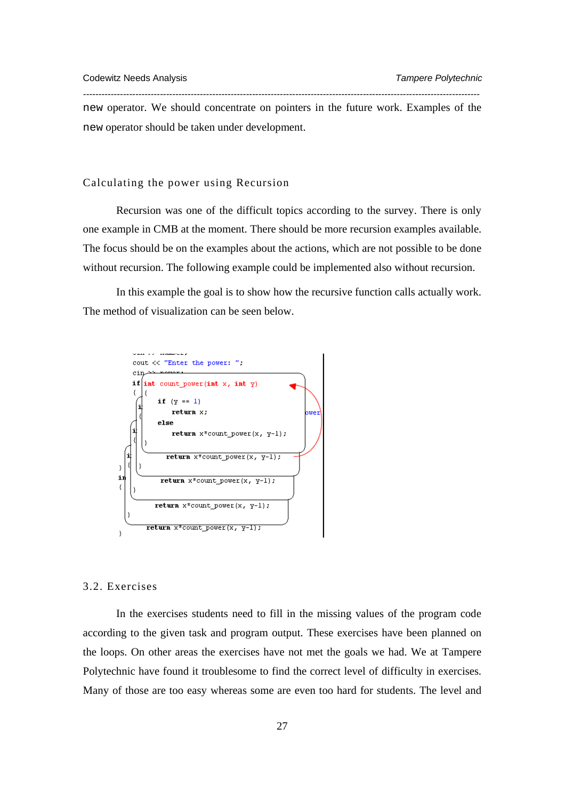new operator. We should concentrate on pointers in the future work. Examples of the new operator should be taken under development.

*---------------------------------------------------------------------------------------------------------------------------------* 

#### Calculating the power using Recursion

Recursion was one of the difficult topics according to the survey. There is only one example in CMB at the moment. There should be more recursion examples available. The focus should be on the examples about the actions, which are not possible to be done without recursion. The following example could be implemented also without recursion.

In this example the goal is to show how the recursive function calls actually work. The method of visualization can be seen below.



# 3.2. Exercises

In the exercises students need to fill in the missing values of the program code according to the given task and program output. These exercises have been planned on the loops. On other areas the exercises have not met the goals we had. We at Tampere Polytechnic have found it troublesome to find the correct level of difficulty in exercises. Many of those are too easy whereas some are even too hard for students. The level and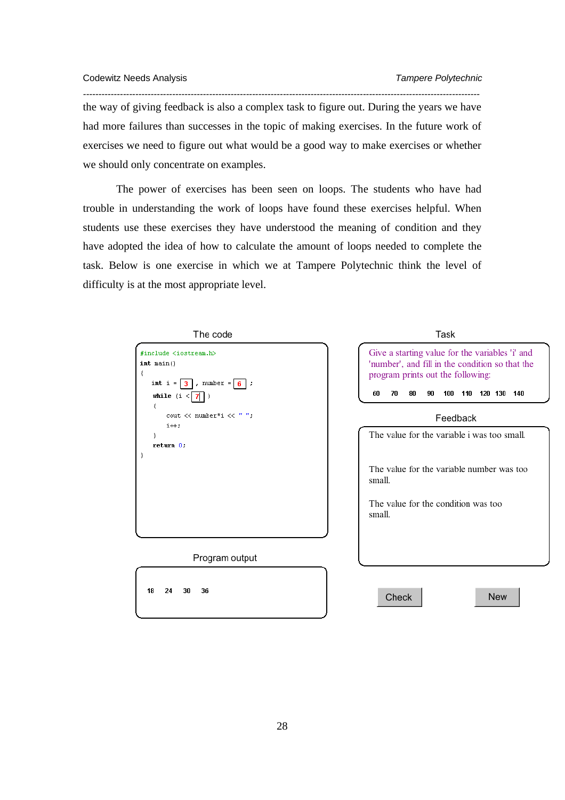the way of giving feedback is also a complex task to figure out. During the years we have had more failures than successes in the topic of making exercises. In the future work of exercises we need to figure out what would be a good way to make exercises or whether we should only concentrate on examples.

*---------------------------------------------------------------------------------------------------------------------------------* 

The power of exercises has been seen on loops. The students who have had trouble in understanding the work of loops have found these exercises helpful. When students use these exercises they have understood the meaning of condition and they have adopted the idea of how to calculate the amount of loops needed to complete the task. Below is one exercise in which we at Tampere Polytechnic think the level of difficulty is at the most appropriate level.

| The code                                                                                                                                                             | Task                                                                                                                                                                                      |  |  |  |  |
|----------------------------------------------------------------------------------------------------------------------------------------------------------------------|-------------------------------------------------------------------------------------------------------------------------------------------------------------------------------------------|--|--|--|--|
| #include <iostream.h><br/><math>int</math> main()<br/>₹<br/>int i = <math>3</math>, number = <math>6</math> ;<br/>while <math>(i &lt;  7 )</math><br/>€</iostream.h> | Give a starting value for the variables 'i' and<br>'number', and fill in the condition so that the<br>program prints out the following:<br>60<br>70<br>80<br>110 120 130 140<br>90<br>100 |  |  |  |  |
| cout << number*i << " ";                                                                                                                                             | Feedback                                                                                                                                                                                  |  |  |  |  |
| $i++$ ;<br>}<br>return 0.<br>)                                                                                                                                       | The value for the variable i was too small.                                                                                                                                               |  |  |  |  |
|                                                                                                                                                                      | The value for the variable number was too<br>small.                                                                                                                                       |  |  |  |  |
|                                                                                                                                                                      | The value for the condition was too<br>small.                                                                                                                                             |  |  |  |  |
|                                                                                                                                                                      |                                                                                                                                                                                           |  |  |  |  |
| Program output                                                                                                                                                       |                                                                                                                                                                                           |  |  |  |  |
| 18<br>24<br>36<br>30                                                                                                                                                 | <b>New</b><br>Check                                                                                                                                                                       |  |  |  |  |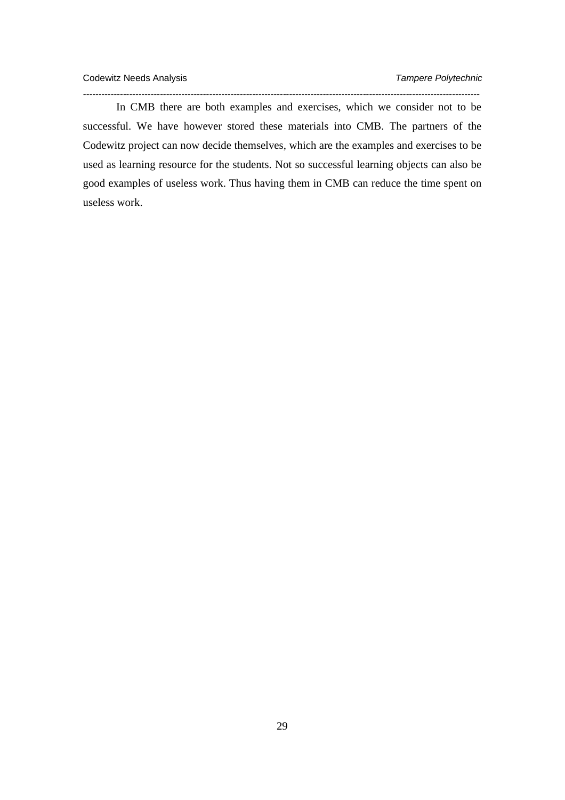In CMB there are both examples and exercises, which we consider not to be successful. We have however stored these materials into CMB. The partners of the Codewitz project can now decide themselves, which are the examples and exercises to be used as learning resource for the students. Not so successful learning objects can also be good examples of useless work. Thus having them in CMB can reduce the time spent on useless work.

*---------------------------------------------------------------------------------------------------------------------------------*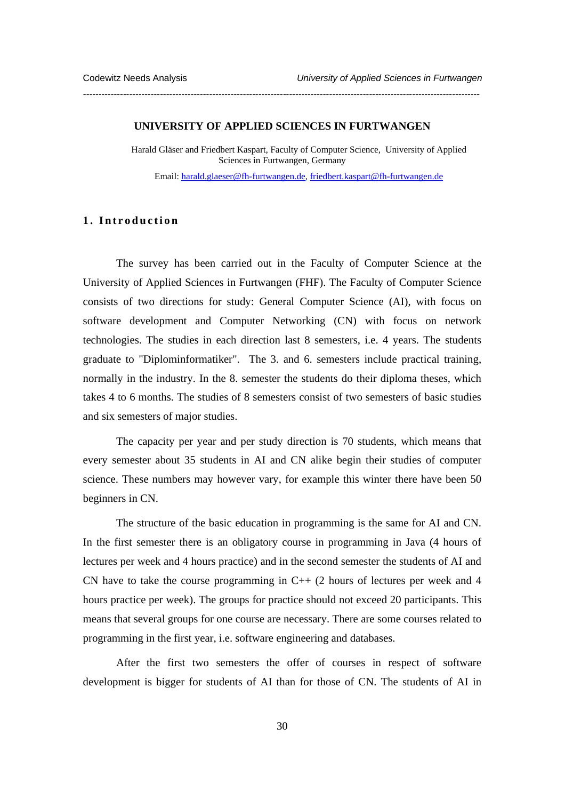#### **UNIVERSITY OF APPLIED SCIENCES IN FURTWANGEN**

*---------------------------------------------------------------------------------------------------------------------------------* 

Harald Gläser and Friedbert Kaspart, Faculty of Computer Science, University of Applied Sciences in Furtwangen, Germany

Email: harald.glaeser@fh-furtwangen.de, friedbert.kaspart@fh-furtwangen.de

# **1. Introduction**

The survey has been carried out in the Faculty of Computer Science at the University of Applied Sciences in Furtwangen (FHF). The Faculty of Computer Science consists of two directions for study: General Computer Science (AI), with focus on software development and Computer Networking (CN) with focus on network technologies. The studies in each direction last 8 semesters, i.e. 4 years. The students graduate to "Diplominformatiker". The 3. and 6. semesters include practical training, normally in the industry. In the 8. semester the students do their diploma theses, which takes 4 to 6 months. The studies of 8 semesters consist of two semesters of basic studies and six semesters of major studies.

The capacity per year and per study direction is 70 students, which means that every semester about 35 students in AI and CN alike begin their studies of computer science. These numbers may however vary, for example this winter there have been 50 beginners in CN.

The structure of the basic education in programming is the same for AI and CN. In the first semester there is an obligatory course in programming in Java (4 hours of lectures per week and 4 hours practice) and in the second semester the students of AI and CN have to take the course programming in  $C++$  (2 hours of lectures per week and 4 hours practice per week). The groups for practice should not exceed 20 participants. This means that several groups for one course are necessary. There are some courses related to programming in the first year, i.e. software engineering and databases.

After the first two semesters the offer of courses in respect of software development is bigger for students of AI than for those of CN. The students of AI in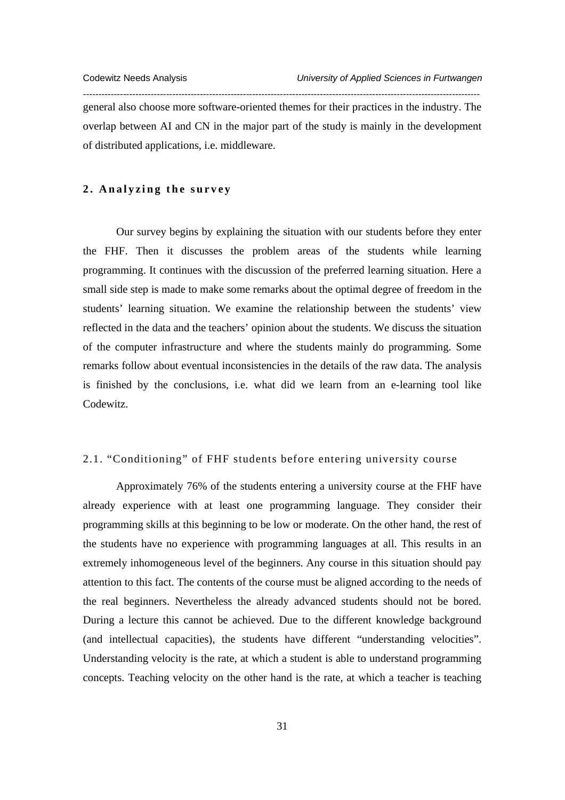general also choose more software-oriented themes for their practices in the industry. The overlap between AI and CN in the major part of the study is mainly in the development of distributed applications, i.e. middleware.

*---------------------------------------------------------------------------------------------------------------------------------* 

#### **2. Analyzing the survey**

Our survey begins by explaining the situation with our students before they enter the FHF. Then it discusses the problem areas of the students while learning programming. It continues with the discussion of the preferred learning situation. Here a small side step is made to make some remarks about the optimal degree of freedom in the students' learning situation. We examine the relationship between the students' view reflected in the data and the teachers' opinion about the students. We discuss the situation of the computer infrastructure and where the students mainly do programming. Some remarks follow about eventual inconsistencies in the details of the raw data. The analysis is finished by the conclusions, i.e. what did we learn from an e-learning tool like Codewitz.

# 2.1. "Conditioning" of FHF students before entering university course

Approximately 76% of the students entering a university course at the FHF have already experience with at least one programming language. They consider their programming skills at this beginning to be low or moderate. On the other hand, the rest of the students have no experience with programming languages at all. This results in an extremely inhomogeneous level of the beginners. Any course in this situation should pay attention to this fact. The contents of the course must be aligned according to the needs of the real beginners. Nevertheless the already advanced students should not be bored. During a lecture this cannot be achieved. Due to the different knowledge background (and intellectual capacities), the students have different "understanding velocities". Understanding velocity is the rate, at which a student is able to understand programming concepts. Teaching velocity on the other hand is the rate, at which a teacher is teaching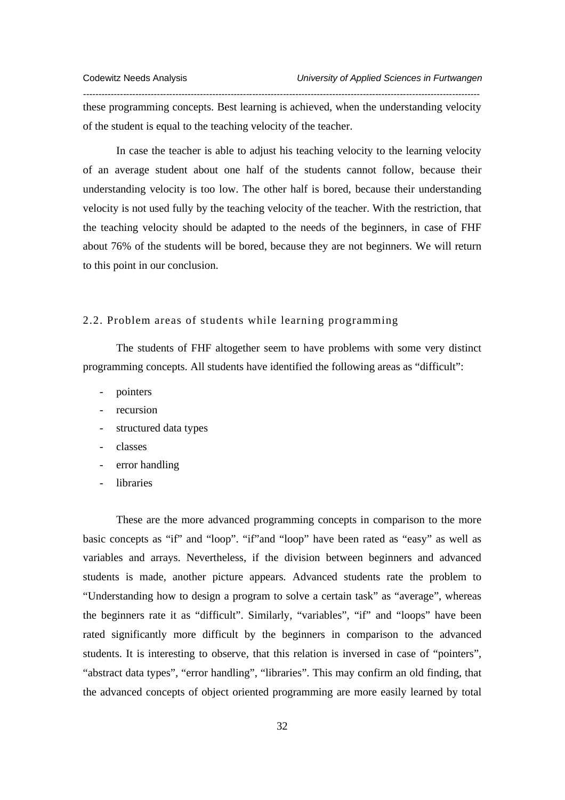these programming concepts. Best learning is achieved, when the understanding velocity of the student is equal to the teaching velocity of the teacher.

*---------------------------------------------------------------------------------------------------------------------------------* 

In case the teacher is able to adjust his teaching velocity to the learning velocity of an average student about one half of the students cannot follow, because their understanding velocity is too low. The other half is bored, because their understanding velocity is not used fully by the teaching velocity of the teacher. With the restriction, that the teaching velocity should be adapted to the needs of the beginners, in case of FHF about 76% of the students will be bored, because they are not beginners. We will return to this point in our conclusion.

## 2.2. Problem areas of students while learning programming

The students of FHF altogether seem to have problems with some very distinct programming concepts. All students have identified the following areas as "difficult":

- pointers
- recursion
- structured data types
- classes
- error handling
- **libraries**

These are the more advanced programming concepts in comparison to the more basic concepts as "if" and "loop". "if"and "loop" have been rated as "easy" as well as variables and arrays. Nevertheless, if the division between beginners and advanced students is made, another picture appears. Advanced students rate the problem to "Understanding how to design a program to solve a certain task" as "average", whereas the beginners rate it as "difficult". Similarly, "variables", "if" and "loops" have been rated significantly more difficult by the beginners in comparison to the advanced students. It is interesting to observe, that this relation is inversed in case of "pointers", "abstract data types", "error handling", "libraries". This may confirm an old finding, that the advanced concepts of object oriented programming are more easily learned by total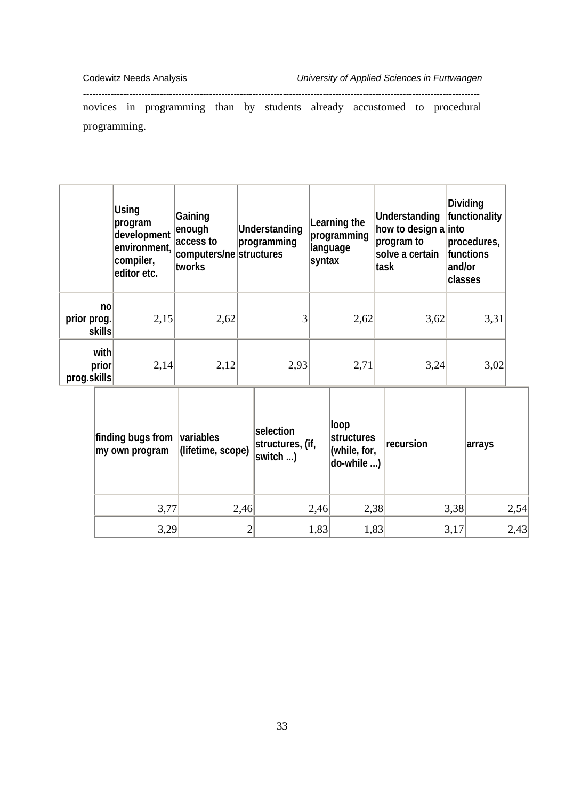novices in programming than by students already accustomed to procedural programming.

*---------------------------------------------------------------------------------------------------------------------------------* 

|                                         | Using<br> program<br>development<br>environment,<br>compiler,<br>leditor etc. | Gaining<br>enough<br>access to<br>computers/ne structures<br>tworks | Understanding<br>programming | syntax | Learning the<br>programming<br>language | Understanding<br>how to design a into<br>program to<br>solve a certain<br>∣task | and/or<br>classes | Dividing<br>functionality<br>procedures,<br><b>functions</b> |  |
|-----------------------------------------|-------------------------------------------------------------------------------|---------------------------------------------------------------------|------------------------------|--------|-----------------------------------------|---------------------------------------------------------------------------------|-------------------|--------------------------------------------------------------|--|
| n <sub>o</sub><br>prior prog.<br>skills | 2,15                                                                          | 2,62                                                                |                              |        | 2,62                                    | 3,62                                                                            |                   | 3,31                                                         |  |
| with<br>prior<br>prog.skills            | 2,14                                                                          | 2,12                                                                | 2,93                         |        | 2,71                                    | 3,24                                                                            |                   | 3,02                                                         |  |
|                                         |                                                                               |                                                                     |                              |        |                                         |                                                                                 |                   |                                                              |  |

| finding bugs from<br>my own program | variables<br>(lifetime, scope) | selection<br>structures, (if,<br> switch | loop<br>structures<br>(while, for,<br>$ $ do-while $ $ | recursion | arrays |
|-------------------------------------|--------------------------------|------------------------------------------|--------------------------------------------------------|-----------|--------|
| 3,77                                | 2,46                           | 2,46                                     | 2,38                                                   | 3,38      | 2,54   |
| 3,29                                |                                | 1,83                                     | 1,83                                                   | 3,17      | 2,43   |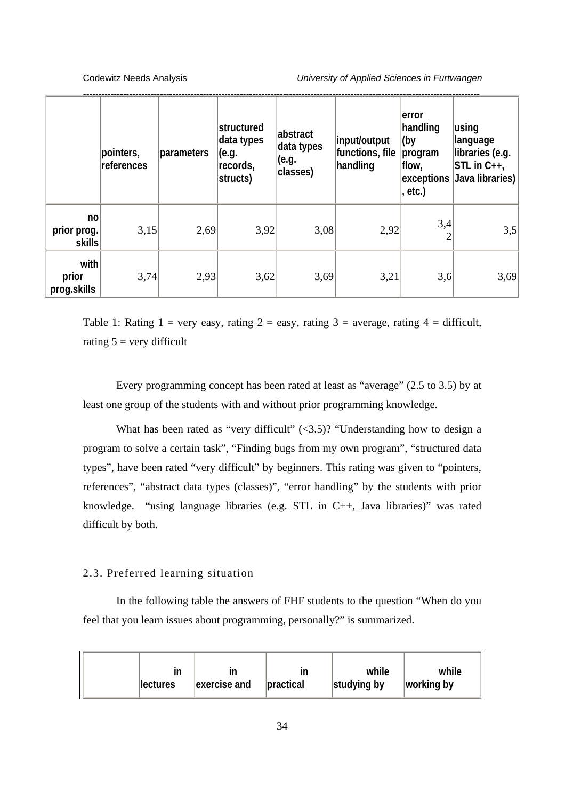|                              | pointers,<br>references | parameters | structured<br>data types<br>(e.g.<br>records,<br>structs) | abstract<br>data types<br>(e.g.<br>classes) | input/output<br>functions, file<br>handling | lerror<br>handling<br>(by<br>program<br>flow,<br>, etc.) | using<br>language<br>libraries (e.g.<br>$STL$ in $C_{++}$ ,<br>exceptions Java libraries) |
|------------------------------|-------------------------|------------|-----------------------------------------------------------|---------------------------------------------|---------------------------------------------|----------------------------------------------------------|-------------------------------------------------------------------------------------------|
| no<br>prior prog.<br>skills  | 3,15                    | 2,69       | 3,92                                                      | 3,08                                        | 2,92                                        | 3,4                                                      | 3,5                                                                                       |
| with<br>prior<br>prog.skills | 3,74                    | 2,93       | 3,62                                                      | 3,69                                        | 3,21                                        | 3,6                                                      | 3,69                                                                                      |

Table 1: Rating 1 = very easy, rating 2 = easy, rating 3 = average, rating 4 = difficult, rating  $5 = \text{very difficult}$ 

Every programming concept has been rated at least as "average" (2.5 to 3.5) by at least one group of the students with and without prior programming knowledge.

What has been rated as "very difficult"  $(\leq 3.5)$ ? "Understanding how to design a program to solve a certain task", "Finding bugs from my own program", "structured data types", have been rated "very difficult" by beginners. This rating was given to "pointers, references", "abstract data types (classes)", "error handling" by the students with prior knowledge. "using language libraries (e.g. STL in C++, Java libraries)" was rated difficult by both.

## 2.3. Preferred learning situation

In the following table the answers of FHF students to the question "When do you feel that you learn issues about programming, personally?" is summarized.

| ın               | ın           | in        | while       | while      |
|------------------|--------------|-----------|-------------|------------|
| <b>llectures</b> | exercise and | practical | studying by | working by |
|                  |              |           |             |            |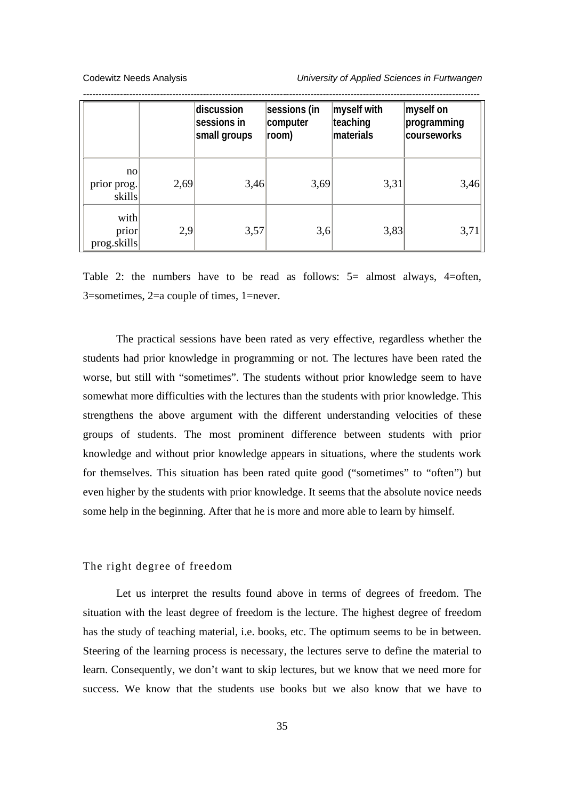|                              |      | discussion<br>sessions in<br>small groups | sessions (in<br>computer<br>room) | myself with<br>teaching<br>materials | myself on<br>programming<br>courseworks |
|------------------------------|------|-------------------------------------------|-----------------------------------|--------------------------------------|-----------------------------------------|
| no<br>prior prog.<br>skills  | 2,69 | 3,46                                      | 3,69                              | 3,31                                 | 3,46                                    |
| with<br>prior<br>prog.skills | 2,9  | 3,57                                      | 3,6                               | 3,83                                 | 3,71                                    |

Table 2: the numbers have to be read as follows: 5= almost always, 4=often, 3=sometimes, 2=a couple of times, 1=never.

The practical sessions have been rated as very effective, regardless whether the students had prior knowledge in programming or not. The lectures have been rated the worse, but still with "sometimes". The students without prior knowledge seem to have somewhat more difficulties with the lectures than the students with prior knowledge. This strengthens the above argument with the different understanding velocities of these groups of students. The most prominent difference between students with prior knowledge and without prior knowledge appears in situations, where the students work for themselves. This situation has been rated quite good ("sometimes" to "often") but even higher by the students with prior knowledge. It seems that the absolute novice needs some help in the beginning. After that he is more and more able to learn by himself.

# The right degree of freedom

Let us interpret the results found above in terms of degrees of freedom. The situation with the least degree of freedom is the lecture. The highest degree of freedom has the study of teaching material, i.e. books, etc. The optimum seems to be in between. Steering of the learning process is necessary, the lectures serve to define the material to learn. Consequently, we don't want to skip lectures, but we know that we need more for success. We know that the students use books but we also know that we have to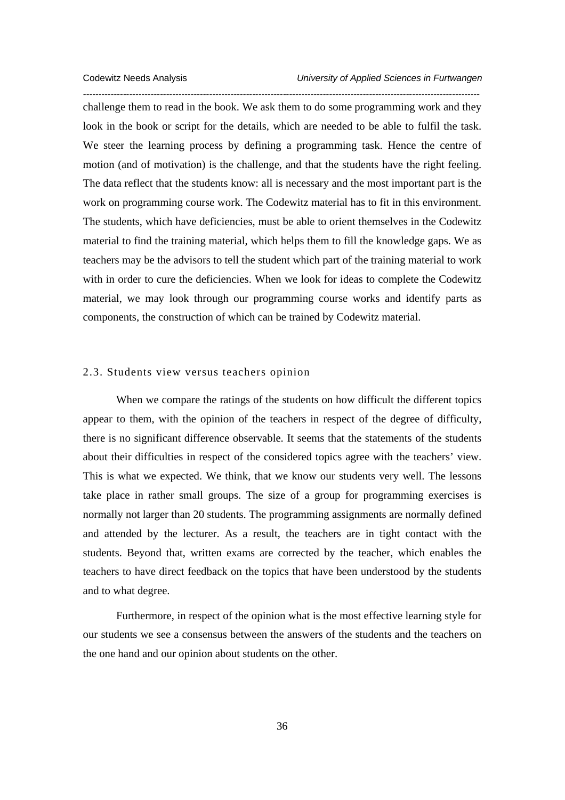*--------------------------------------------------------------------------------------------------------------------------------*  challenge them to read in the book. We ask them to do some programming work and they look in the book or script for the details, which are needed to be able to fulfil the task. We steer the learning process by defining a programming task. Hence the centre of motion (and of motivation) is the challenge, and that the students have the right feeling. The data reflect that the students know: all is necessary and the most important part is the work on programming course work. The Codewitz material has to fit in this environment. The students, which have deficiencies, must be able to orient themselves in the Codewitz material to find the training material, which helps them to fill the knowledge gaps. We as teachers may be the advisors to tell the student which part of the training material to work with in order to cure the deficiencies. When we look for ideas to complete the Codewitz material, we may look through our programming course works and identify parts as components, the construction of which can be trained by Codewitz material.

#### 2.3. Students view versus teachers opinion

When we compare the ratings of the students on how difficult the different topics appear to them, with the opinion of the teachers in respect of the degree of difficulty, there is no significant difference observable. It seems that the statements of the students about their difficulties in respect of the considered topics agree with the teachers' view. This is what we expected. We think, that we know our students very well. The lessons take place in rather small groups. The size of a group for programming exercises is normally not larger than 20 students. The programming assignments are normally defined and attended by the lecturer. As a result, the teachers are in tight contact with the students. Beyond that, written exams are corrected by the teacher, which enables the teachers to have direct feedback on the topics that have been understood by the students and to what degree.

Furthermore, in respect of the opinion what is the most effective learning style for our students we see a consensus between the answers of the students and the teachers on the one hand and our opinion about students on the other.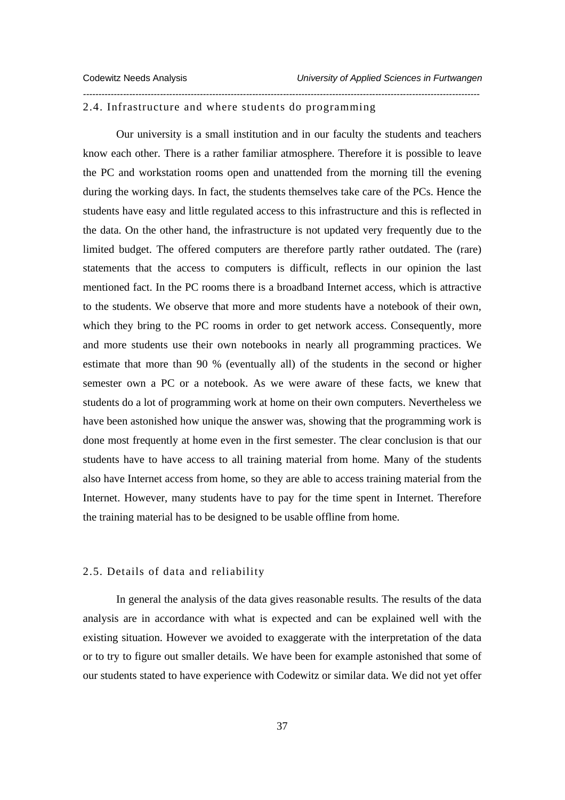#### 2.4. Infrastructure and where students do programming

Our university is a small institution and in our faculty the students and teachers know each other. There is a rather familiar atmosphere. Therefore it is possible to leave the PC and workstation rooms open and unattended from the morning till the evening during the working days. In fact, the students themselves take care of the PCs. Hence the students have easy and little regulated access to this infrastructure and this is reflected in the data. On the other hand, the infrastructure is not updated very frequently due to the limited budget. The offered computers are therefore partly rather outdated. The (rare) statements that the access to computers is difficult, reflects in our opinion the last mentioned fact. In the PC rooms there is a broadband Internet access, which is attractive to the students. We observe that more and more students have a notebook of their own, which they bring to the PC rooms in order to get network access. Consequently, more and more students use their own notebooks in nearly all programming practices. We estimate that more than 90 % (eventually all) of the students in the second or higher semester own a PC or a notebook. As we were aware of these facts, we knew that students do a lot of programming work at home on their own computers. Nevertheless we have been astonished how unique the answer was, showing that the programming work is done most frequently at home even in the first semester. The clear conclusion is that our students have to have access to all training material from home. Many of the students also have Internet access from home, so they are able to access training material from the Internet. However, many students have to pay for the time spent in Internet. Therefore the training material has to be designed to be usable offline from home.

*---------------------------------------------------------------------------------------------------------------------------------* 

# 2.5. Details of data and reliability

In general the analysis of the data gives reasonable results. The results of the data analysis are in accordance with what is expected and can be explained well with the existing situation. However we avoided to exaggerate with the interpretation of the data or to try to figure out smaller details. We have been for example astonished that some of our students stated to have experience with Codewitz or similar data. We did not yet offer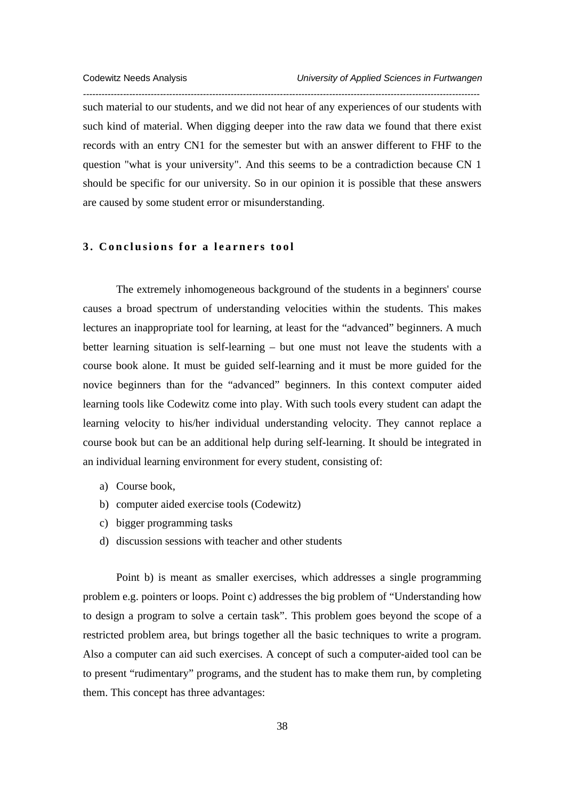such material to our students, and we did not hear of any experiences of our students with such kind of material. When digging deeper into the raw data we found that there exist records with an entry CN1 for the semester but with an answer different to FHF to the question "what is your university". And this seems to be a contradiction because CN 1 should be specific for our university. So in our opinion it is possible that these answers are caused by some student error or misunderstanding.

*---------------------------------------------------------------------------------------------------------------------------------* 

#### **3. Conclusions for a learners tool**

The extremely inhomogeneous background of the students in a beginners' course causes a broad spectrum of understanding velocities within the students. This makes lectures an inappropriate tool for learning, at least for the "advanced" beginners. A much better learning situation is self-learning – but one must not leave the students with a course book alone. It must be guided self-learning and it must be more guided for the novice beginners than for the "advanced" beginners. In this context computer aided learning tools like Codewitz come into play. With such tools every student can adapt the learning velocity to his/her individual understanding velocity. They cannot replace a course book but can be an additional help during self-learning. It should be integrated in an individual learning environment for every student, consisting of:

- a) Course book,
- b) computer aided exercise tools (Codewitz)
- c) bigger programming tasks
- d) discussion sessions with teacher and other students

Point b) is meant as smaller exercises, which addresses a single programming problem e.g. pointers or loops. Point c) addresses the big problem of "Understanding how to design a program to solve a certain task". This problem goes beyond the scope of a restricted problem area, but brings together all the basic techniques to write a program. Also a computer can aid such exercises. A concept of such a computer-aided tool can be to present "rudimentary" programs, and the student has to make them run, by completing them. This concept has three advantages: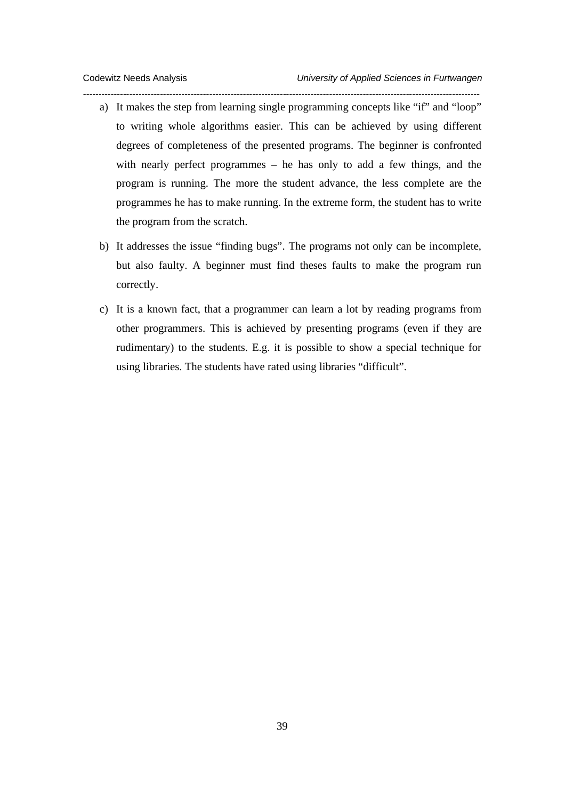a) It makes the step from learning single programming concepts like "if" and "loop" to writing whole algorithms easier. This can be achieved by using different degrees of completeness of the presented programs. The beginner is confronted with nearly perfect programmes – he has only to add a few things, and the program is running. The more the student advance, the less complete are the programmes he has to make running. In the extreme form, the student has to write the program from the scratch.

*---------------------------------------------------------------------------------------------------------------------------------* 

- b) It addresses the issue "finding bugs". The programs not only can be incomplete, but also faulty. A beginner must find theses faults to make the program run correctly.
- c) It is a known fact, that a programmer can learn a lot by reading programs from other programmers. This is achieved by presenting programs (even if they are rudimentary) to the students. E.g. it is possible to show a special technique for using libraries. The students have rated using libraries "difficult".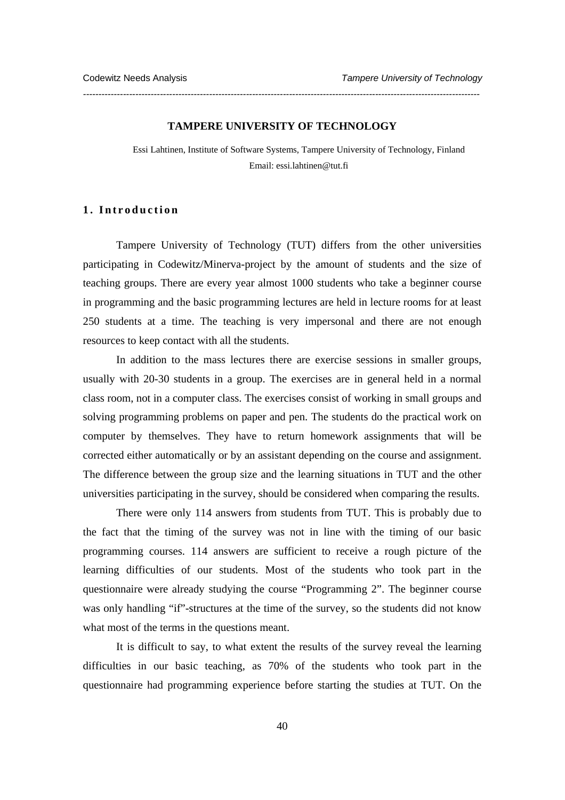#### **TAMPERE UNIVERSITY OF TECHNOLOGY**

*---------------------------------------------------------------------------------------------------------------------------------* 

Essi Lahtinen, Institute of Software Systems, Tampere University of Technology, Finland Email: essi.lahtinen@tut.fi

#### **1. Introduction**

Tampere University of Technology (TUT) differs from the other universities participating in Codewitz/Minerva-project by the amount of students and the size of teaching groups. There are every year almost 1000 students who take a beginner course in programming and the basic programming lectures are held in lecture rooms for at least 250 students at a time. The teaching is very impersonal and there are not enough resources to keep contact with all the students.

In addition to the mass lectures there are exercise sessions in smaller groups, usually with 20-30 students in a group. The exercises are in general held in a normal class room, not in a computer class. The exercises consist of working in small groups and solving programming problems on paper and pen. The students do the practical work on computer by themselves. They have to return homework assignments that will be corrected either automatically or by an assistant depending on the course and assignment. The difference between the group size and the learning situations in TUT and the other universities participating in the survey, should be considered when comparing the results.

There were only 114 answers from students from TUT. This is probably due to the fact that the timing of the survey was not in line with the timing of our basic programming courses. 114 answers are sufficient to receive a rough picture of the learning difficulties of our students. Most of the students who took part in the questionnaire were already studying the course "Programming 2". The beginner course was only handling "if"-structures at the time of the survey, so the students did not know what most of the terms in the questions meant.

It is difficult to say, to what extent the results of the survey reveal the learning difficulties in our basic teaching, as 70% of the students who took part in the questionnaire had programming experience before starting the studies at TUT. On the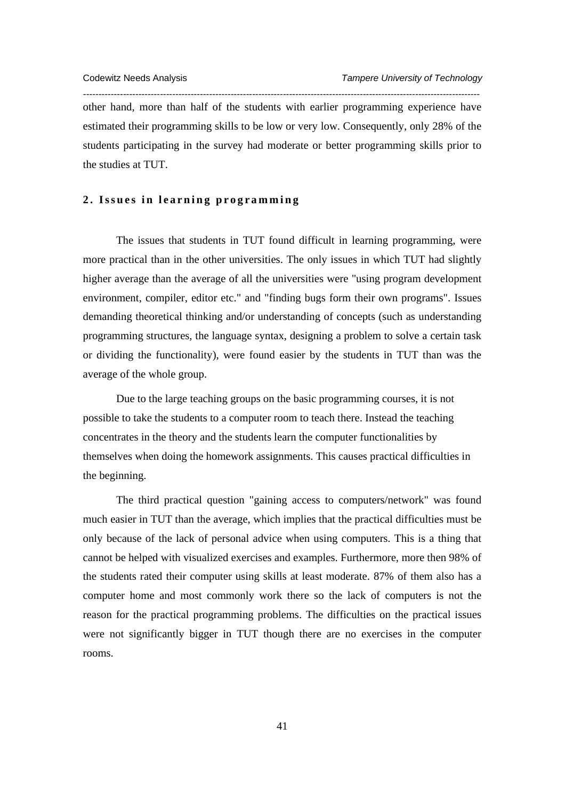other hand, more than half of the students with earlier programming experience have estimated their programming skills to be low or very low. Consequently, only 28% of the students participating in the survey had moderate or better programming skills prior to the studies at TUT.

*---------------------------------------------------------------------------------------------------------------------------------* 

#### **2. Issues in learning programming**

The issues that students in TUT found difficult in learning programming, were more practical than in the other universities. The only issues in which TUT had slightly higher average than the average of all the universities were "using program development environment, compiler, editor etc." and "finding bugs form their own programs". Issues demanding theoretical thinking and/or understanding of concepts (such as understanding programming structures, the language syntax, designing a problem to solve a certain task or dividing the functionality), were found easier by the students in TUT than was the average of the whole group.

Due to the large teaching groups on the basic programming courses, it is not possible to take the students to a computer room to teach there. Instead the teaching concentrates in the theory and the students learn the computer functionalities by themselves when doing the homework assignments. This causes practical difficulties in the beginning.

The third practical question "gaining access to computers/network" was found much easier in TUT than the average, which implies that the practical difficulties must be only because of the lack of personal advice when using computers. This is a thing that cannot be helped with visualized exercises and examples. Furthermore, more then 98% of the students rated their computer using skills at least moderate. 87% of them also has a computer home and most commonly work there so the lack of computers is not the reason for the practical programming problems. The difficulties on the practical issues were not significantly bigger in TUT though there are no exercises in the computer rooms.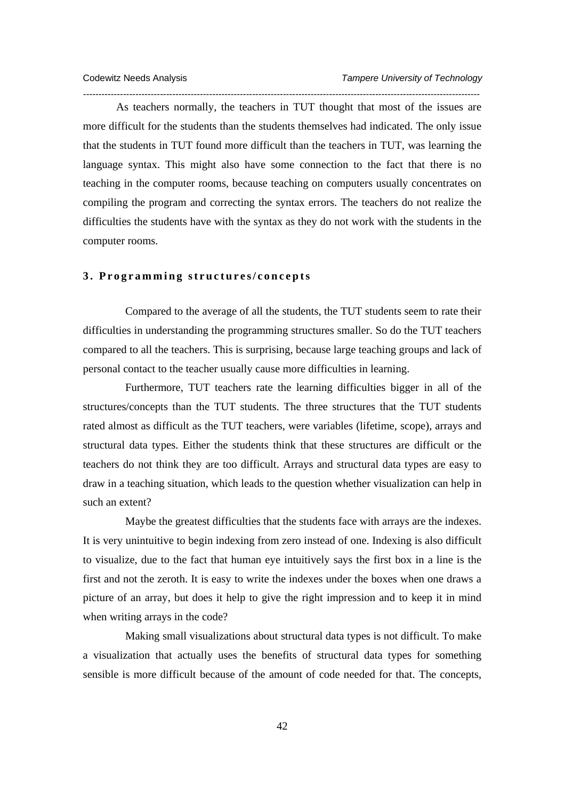As teachers normally, the teachers in TUT thought that most of the issues are more difficult for the students than the students themselves had indicated. The only issue that the students in TUT found more difficult than the teachers in TUT, was learning the language syntax. This might also have some connection to the fact that there is no teaching in the computer rooms, because teaching on computers usually concentrates on compiling the program and correcting the syntax errors. The teachers do not realize the difficulties the students have with the syntax as they do not work with the students in the computer rooms.

*---------------------------------------------------------------------------------------------------------------------------------* 

# **3. Programming structures/concepts**

 Compared to the average of all the students, the TUT students seem to rate their difficulties in understanding the programming structures smaller. So do the TUT teachers compared to all the teachers. This is surprising, because large teaching groups and lack of personal contact to the teacher usually cause more difficulties in learning.

 Furthermore, TUT teachers rate the learning difficulties bigger in all of the structures/concepts than the TUT students. The three structures that the TUT students rated almost as difficult as the TUT teachers, were variables (lifetime, scope), arrays and structural data types. Either the students think that these structures are difficult or the teachers do not think they are too difficult. Arrays and structural data types are easy to draw in a teaching situation, which leads to the question whether visualization can help in such an extent?

 Maybe the greatest difficulties that the students face with arrays are the indexes. It is very unintuitive to begin indexing from zero instead of one. Indexing is also difficult to visualize, due to the fact that human eye intuitively says the first box in a line is the first and not the zeroth. It is easy to write the indexes under the boxes when one draws a picture of an array, but does it help to give the right impression and to keep it in mind when writing arrays in the code?

 Making small visualizations about structural data types is not difficult. To make a visualization that actually uses the benefits of structural data types for something sensible is more difficult because of the amount of code needed for that. The concepts,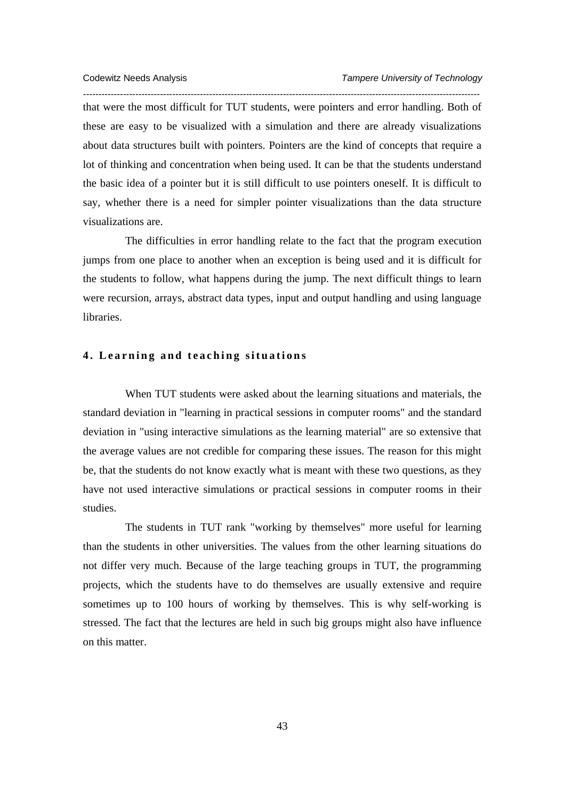*--------------------------------------------------------------------------------------------------------------------------------*  that were the most difficult for TUT students, were pointers and error handling. Both of these are easy to be visualized with a simulation and there are already visualizations about data structures built with pointers. Pointers are the kind of concepts that require a lot of thinking and concentration when being used. It can be that the students understand the basic idea of a pointer but it is still difficult to use pointers oneself. It is difficult to say, whether there is a need for simpler pointer visualizations than the data structure visualizations are.

 The difficulties in error handling relate to the fact that the program execution jumps from one place to another when an exception is being used and it is difficult for the students to follow, what happens during the jump. The next difficult things to learn were recursion, arrays, abstract data types, input and output handling and using language libraries.

# **4. Learning and teaching situations**

 When TUT students were asked about the learning situations and materials, the standard deviation in "learning in practical sessions in computer rooms" and the standard deviation in "using interactive simulations as the learning material" are so extensive that the average values are not credible for comparing these issues. The reason for this might be, that the students do not know exactly what is meant with these two questions, as they have not used interactive simulations or practical sessions in computer rooms in their studies.

 The students in TUT rank "working by themselves" more useful for learning than the students in other universities. The values from the other learning situations do not differ very much. Because of the large teaching groups in TUT, the programming projects, which the students have to do themselves are usually extensive and require sometimes up to 100 hours of working by themselves. This is why self-working is stressed. The fact that the lectures are held in such big groups might also have influence on this matter.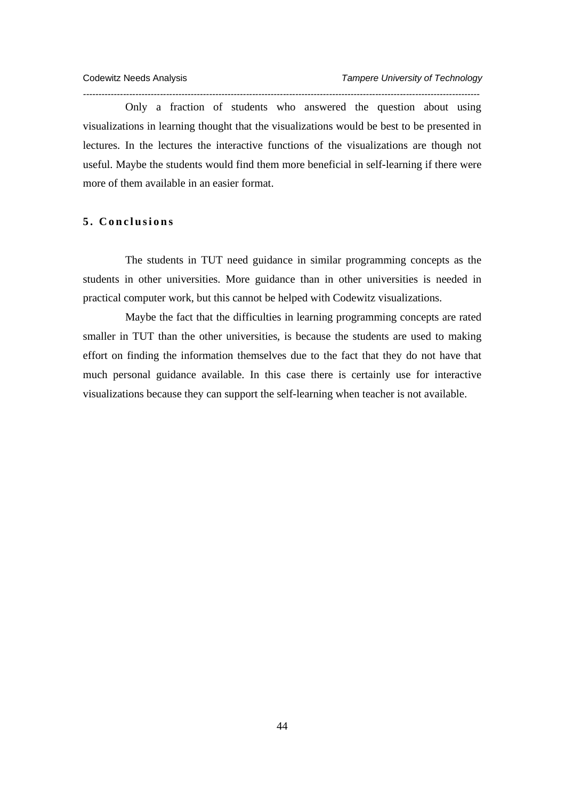Only a fraction of students who answered the question about using visualizations in learning thought that the visualizations would be best to be presented in lectures. In the lectures the interactive functions of the visualizations are though not useful. Maybe the students would find them more beneficial in self-learning if there were more of them available in an easier format.

*---------------------------------------------------------------------------------------------------------------------------------* 

# **5. Conclusions**

 The students in TUT need guidance in similar programming concepts as the students in other universities. More guidance than in other universities is needed in practical computer work, but this cannot be helped with Codewitz visualizations.

 Maybe the fact that the difficulties in learning programming concepts are rated smaller in TUT than the other universities, is because the students are used to making effort on finding the information themselves due to the fact that they do not have that much personal guidance available. In this case there is certainly use for interactive visualizations because they can support the self-learning when teacher is not available.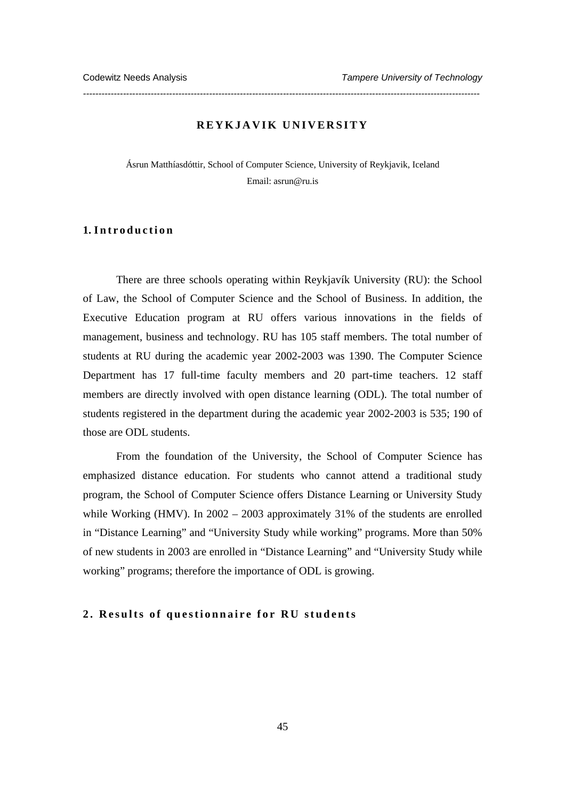# **REYKJAVIK UNIVERSITY**

*---------------------------------------------------------------------------------------------------------------------------------* 

Ásrun Matthíasdóttir, School of Computer Science, University of Reykjavik, Iceland Email: asrun@ru.is

# **1. I n t r o d u c t i o n**

There are three schools operating within Reykjavík University (RU): the School of Law, the School of Computer Science and the School of Business. In addition, the Executive Education program at RU offers various innovations in the fields of management, business and technology. RU has 105 staff members. The total number of students at RU during the academic year 2002-2003 was 1390. The Computer Science Department has 17 full-time faculty members and 20 part-time teachers. 12 staff members are directly involved with open distance learning (ODL). The total number of students registered in the department during the academic year 2002-2003 is 535; 190 of those are ODL students.

From the foundation of the University, the School of Computer Science has emphasized distance education. For students who cannot attend a traditional study program, the School of Computer Science offers Distance Learning or University Study while Working (HMV). In 2002 – 2003 approximately 31% of the students are enrolled in "Distance Learning" and "University Study while working" programs. More than 50% of new students in 2003 are enrolled in "Distance Learning" and "University Study while working" programs; therefore the importance of ODL is growing.

#### **2. Results of questionnaire for RU students**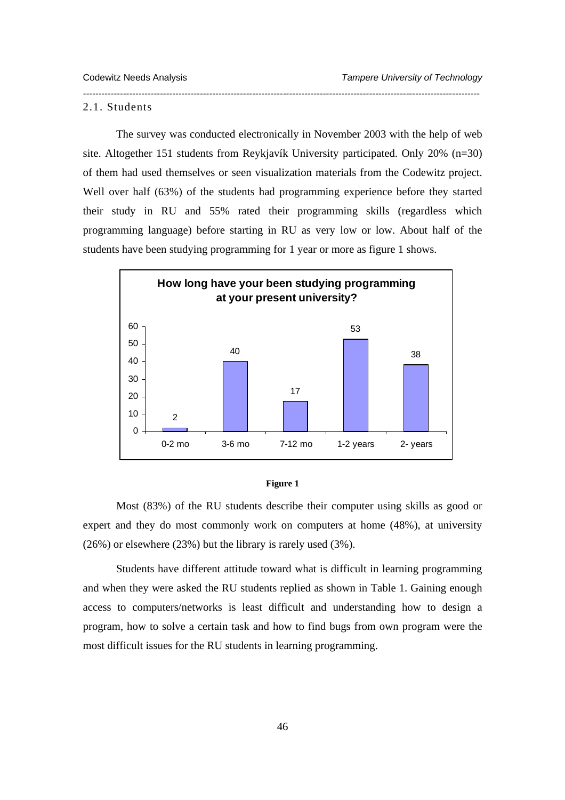#### 2.1. Students

The survey was conducted electronically in November 2003 with the help of web site. Altogether 151 students from Reykjavík University participated. Only 20% (n=30) of them had used themselves or seen visualization materials from the Codewitz project. Well over half (63%) of the students had programming experience before they started their study in RU and 55% rated their programming skills (regardless which programming language) before starting in RU as very low or low. About half of the students have been studying programming for 1 year or more as figure 1 shows.

*---------------------------------------------------------------------------------------------------------------------------------* 





Most (83%) of the RU students describe their computer using skills as good or expert and they do most commonly work on computers at home (48%), at university (26%) or elsewhere (23%) but the library is rarely used (3%).

Students have different attitude toward what is difficult in learning programming and when they were asked the RU students replied as shown in Table 1. Gaining enough access to computers/networks is least difficult and understanding how to design a program, how to solve a certain task and how to find bugs from own program were the most difficult issues for the RU students in learning programming.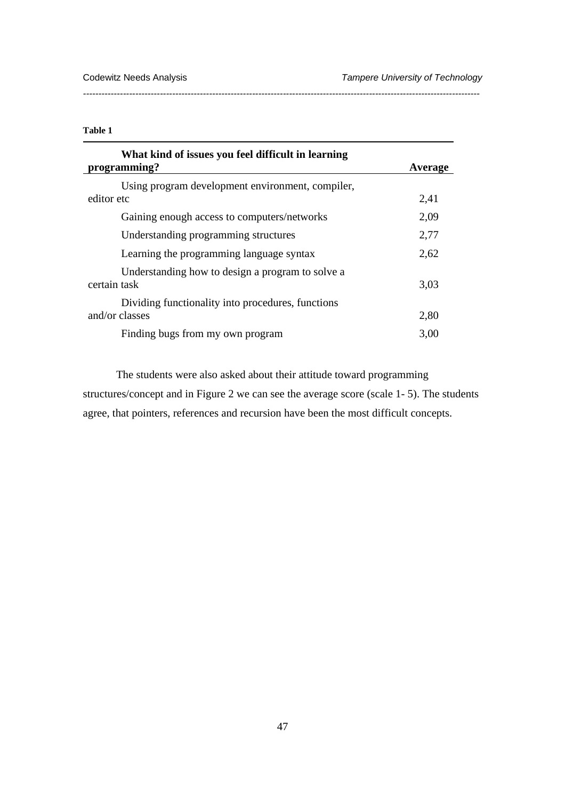# **Table 1**

| What kind of issues you feel difficult in learning<br>programming?  | Average |
|---------------------------------------------------------------------|---------|
| Using program development environment, compiler,<br>editor etc      | 2,41    |
| Gaining enough access to computers/networks                         | 2,09    |
| Understanding programming structures                                | 2,77    |
| Learning the programming language syntax                            | 2,62    |
| Understanding how to design a program to solve a<br>certain task    | 3,03    |
| Dividing functionality into procedures, functions<br>and/or classes | 2,80    |
| Finding bugs from my own program                                    | 3.00    |

*---------------------------------------------------------------------------------------------------------------------------------* 

The students were also asked about their attitude toward programming structures/concept and in Figure 2 we can see the average score (scale 1- 5). The students agree, that pointers, references and recursion have been the most difficult concepts.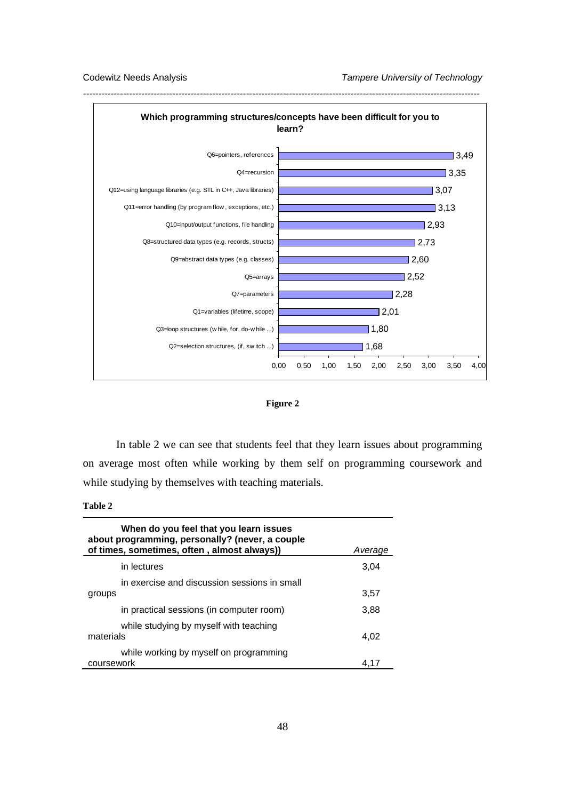



In table 2 we can see that students feel that they learn issues about programming on average most often while working by them self on programming coursework and while studying by themselves with teaching materials.

**Table 2** 

| When do you feel that you learn issues<br>about programming, personally? (never, a couple<br>of times, sometimes, often, almost always)) | Average |
|------------------------------------------------------------------------------------------------------------------------------------------|---------|
| in lectures                                                                                                                              | 3,04    |
| in exercise and discussion sessions in small<br>groups                                                                                   | 3,57    |
| in practical sessions (in computer room)                                                                                                 | 3,88    |
| while studying by myself with teaching<br>materials                                                                                      | 4,02    |
| while working by myself on programming<br>coursework                                                                                     | 4.17    |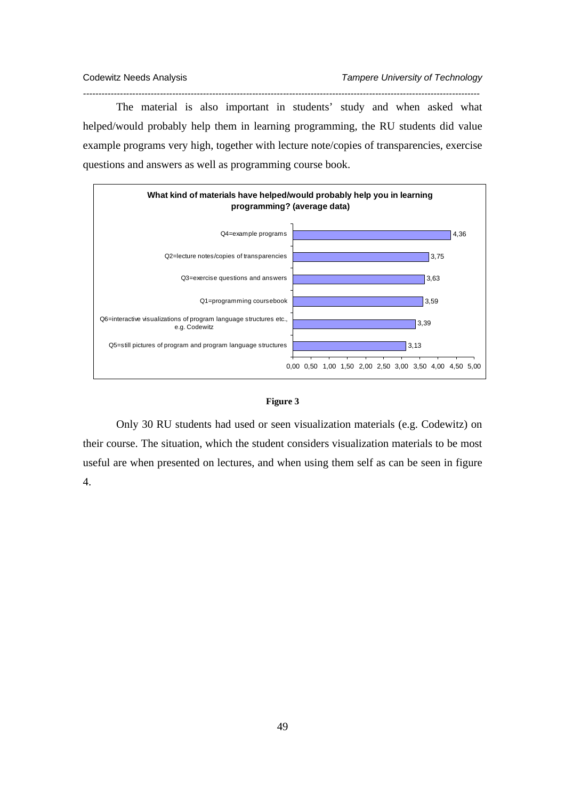The material is also important in students' study and when asked what helped/would probably help them in learning programming, the RU students did value example programs very high, together with lecture note/copies of transparencies, exercise questions and answers as well as programming course book.

*---------------------------------------------------------------------------------------------------------------------------------* 





Only 30 RU students had used or seen visualization materials (e.g. Codewitz) on their course. The situation, which the student considers visualization materials to be most useful are when presented on lectures, and when using them self as can be seen in figure 4.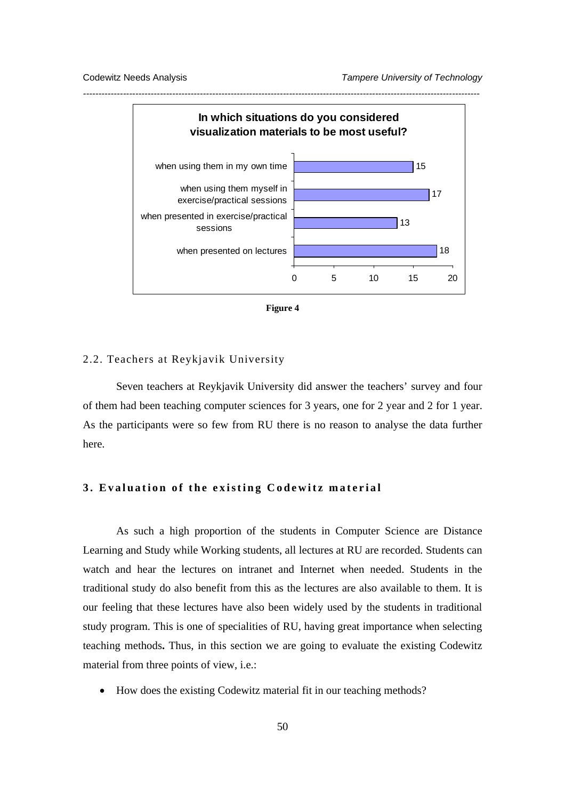



#### 2.2. Teachers at Reykjavik University

Seven teachers at Reykjavik University did answer the teachers' survey and four of them had been teaching computer sciences for 3 years, one for 2 year and 2 for 1 year. As the participants were so few from RU there is no reason to analyse the data further here.

# **3. Evaluation of the existing Codewitz material**

As such a high proportion of the students in Computer Science are Distance Learning and Study while Working students, all lectures at RU are recorded. Students can watch and hear the lectures on intranet and Internet when needed. Students in the traditional study do also benefit from this as the lectures are also available to them. It is our feeling that these lectures have also been widely used by the students in traditional study program. This is one of specialities of RU, having great importance when selecting teaching methods**.** Thus, in this section we are going to evaluate the existing Codewitz material from three points of view, i.e.:

• How does the existing Codewitz material fit in our teaching methods?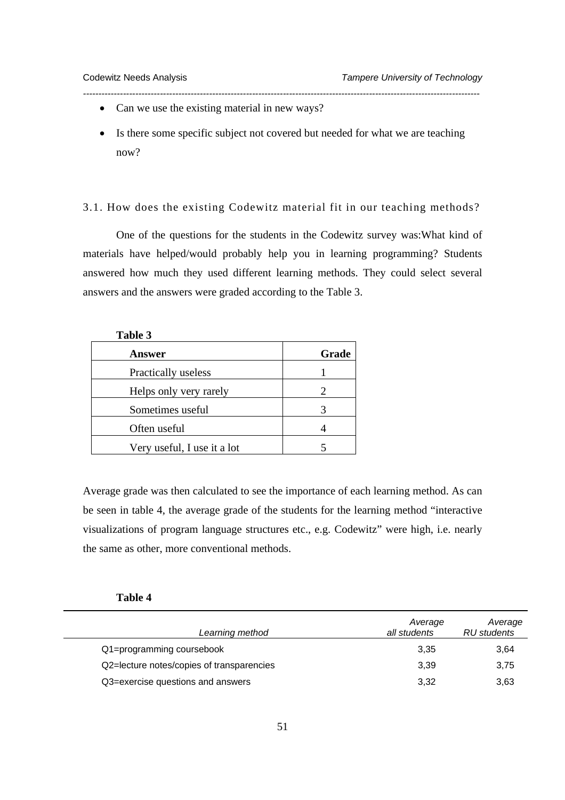**Table 3** 

- Can we use the existing material in new ways?
- Is there some specific subject not covered but needed for what we are teaching now?

*---------------------------------------------------------------------------------------------------------------------------------* 

3.1. How does the existing Codewitz material fit in our teaching methods?

One of the questions for the students in the Codewitz survey was:What kind of materials have helped/would probably help you in learning programming? Students answered how much they used different learning methods. They could select several answers and the answers were graded according to the Table 3.

| Grade |
|-------|
|       |
| 2     |
|       |
|       |
|       |
|       |

Average grade was then calculated to see the importance of each learning method. As can be seen in table 4, the average grade of the students for the learning method "interactive visualizations of program language structures etc., e.g. Codewitz" were high, i.e. nearly the same as other, more conventional methods.

| Π<br>١<br>Ш<br>u<br>п |  |
|-----------------------|--|
|-----------------------|--|

| Learning method                           | Average<br>all students | Average<br>RU students |
|-------------------------------------------|-------------------------|------------------------|
| Q1=programming coursebook                 | 3.35                    | 3,64                   |
| Q2=lecture notes/copies of transparencies | 3.39                    | 3,75                   |
| Q3=exercise questions and answers         | 3,32                    | 3,63                   |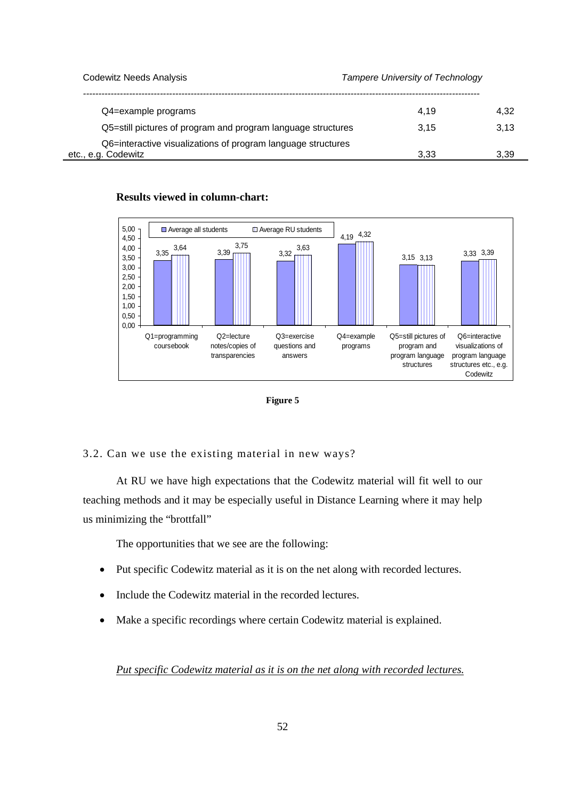Codewitz Needs Analysis *Tampere University of Technology ---------------------------------------------------------------------------------------------------------------------------------*  Q4=example programs  $4.32$ Q5=still pictures of program and program language structures 3,15 3,13 Q6=interactive visualizations of program language structures etc., e.g. Codewitz 3,33 3,39

# **Results viewed in column-chart:**





# 3.2. Can we use the existing material in new ways?

At RU we have high expectations that the Codewitz material will fit well to our teaching methods and it may be especially useful in Distance Learning where it may help us minimizing the "brottfall"

The opportunities that we see are the following:

- Put specific Codewitz material as it is on the net along with recorded lectures.
- Include the Codewitz material in the recorded lectures.
- Make a specific recordings where certain Codewitz material is explained.

*Put specific Codewitz material as it is on the net along with recorded lectures.*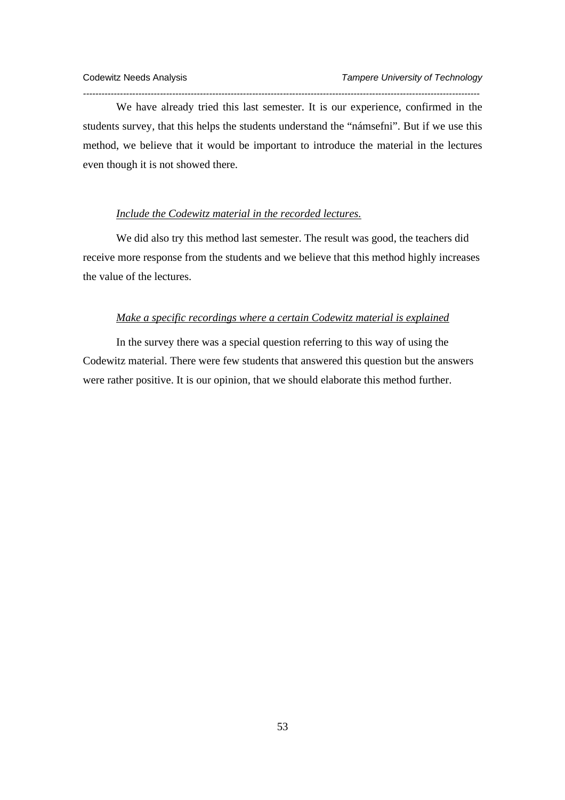We have already tried this last semester. It is our experience, confirmed in the students survey, that this helps the students understand the "námsefni". But if we use this method, we believe that it would be important to introduce the material in the lectures even though it is not showed there.

*---------------------------------------------------------------------------------------------------------------------------------* 

# *Include the Codewitz material in the recorded lectures.*

We did also try this method last semester. The result was good, the teachers did receive more response from the students and we believe that this method highly increases the value of the lectures.

# *Make a specific recordings where a certain Codewitz material is explained*

In the survey there was a special question referring to this way of using the Codewitz material. There were few students that answered this question but the answers were rather positive. It is our opinion, that we should elaborate this method further.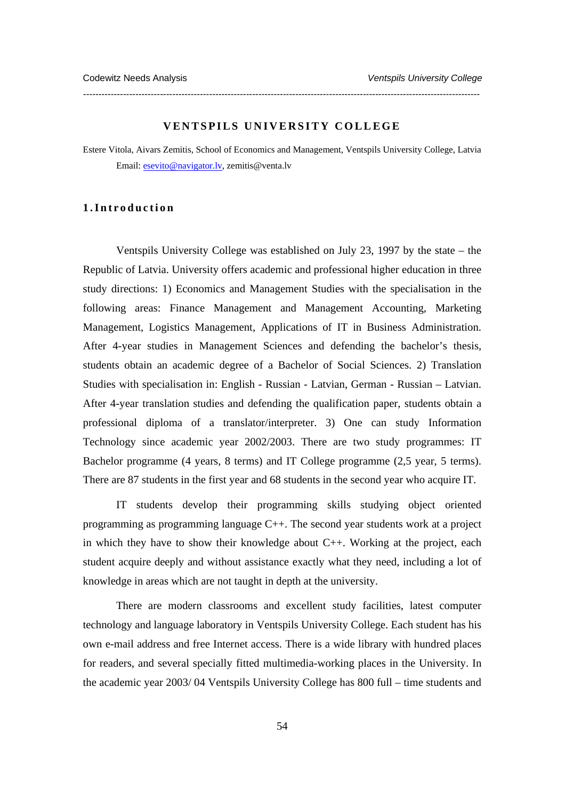#### **VENTSPILS UNIVERSITY COLLEGE**

*---------------------------------------------------------------------------------------------------------------------------------* 

Estere Vitola, Aivars Zemitis, School of Economics and Management, Ventspils University College, Latvia Email: esevito@navigator.lv, zemitis@venta.lv

## **1.Introduction**

Ventspils University College was established on July 23, 1997 by the state – the Republic of Latvia. University offers academic and professional higher education in three study directions: 1) Economics and Management Studies with the specialisation in the following areas: Finance Management and Management Accounting, Marketing Management, Logistics Management, Applications of IT in Business Administration. After 4-year studies in Management Sciences and defending the bachelor's thesis, students obtain an academic degree of a Bachelor of Social Sciences. 2) Translation Studies with specialisation in: English - Russian - Latvian, German - Russian – Latvian. After 4-year translation studies and defending the qualification paper, students obtain a professional diploma of a translator/interpreter. 3) One can study Information Technology since academic year 2002/2003. There are two study programmes: IT Bachelor programme (4 years, 8 terms) and IT College programme (2,5 year, 5 terms). There are 87 students in the first year and 68 students in the second year who acquire IT.

IT students develop their programming skills studying object oriented programming as programming language C++. The second year students work at a project in which they have to show their knowledge about C++. Working at the project, each student acquire deeply and without assistance exactly what they need, including a lot of knowledge in areas which are not taught in depth at the university.

There are modern classrooms and excellent study facilities, latest computer technology and language laboratory in Ventspils University College. Each student has his own e-mail address and free Internet access. There is a wide library with hundred places for readers, and several specially fitted multimedia-working places in the University. In the academic year 2003/ 04 Ventspils University College has 800 full – time students and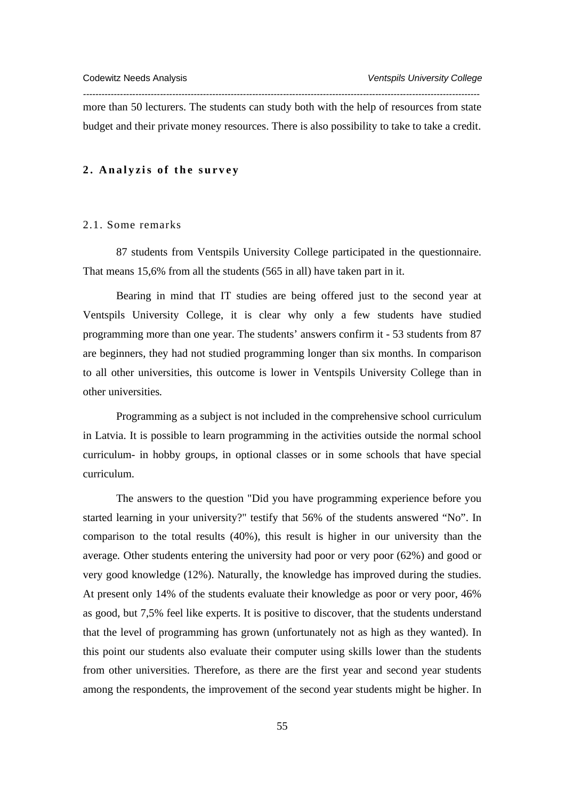more than 50 lecturers. The students can study both with the help of resources from state budget and their private money resources. There is also possibility to take to take a credit.

*---------------------------------------------------------------------------------------------------------------------------------* 

#### **2. Analyzis of the survey**

#### 2.1. Some remarks

87 students from Ventspils University College participated in the questionnaire. That means 15,6% from all the students (565 in all) have taken part in it.

Bearing in mind that IT studies are being offered just to the second year at Ventspils University College, it is clear why only a few students have studied programming more than one year. The students' answers confirm it - 53 students from 87 are beginners, they had not studied programming longer than six months. In comparison to all other universities, this outcome is lower in Ventspils University College than in other universities*.* 

Programming as a subject is not included in the comprehensive school curriculum in Latvia. It is possible to learn programming in the activities outside the normal school curriculum- in hobby groups, in optional classes or in some schools that have special curriculum.

The answers to the question "Did you have programming experience before you started learning in your university?" testify that 56% of the students answered "No". In comparison to the total results (40%), this result is higher in our university than the average*.* Other students entering the university had poor or very poor (62%) and good or very good knowledge (12%). Naturally, the knowledge has improved during the studies. At present only 14% of the students evaluate their knowledge as poor or very poor, 46% as good, but 7,5% feel like experts. It is positive to discover, that the students understand that the level of programming has grown (unfortunately not as high as they wanted). In this point our students also evaluate their computer using skills lower than the students from other universities. Therefore, as there are the first year and second year students among the respondents, the improvement of the second year students might be higher. In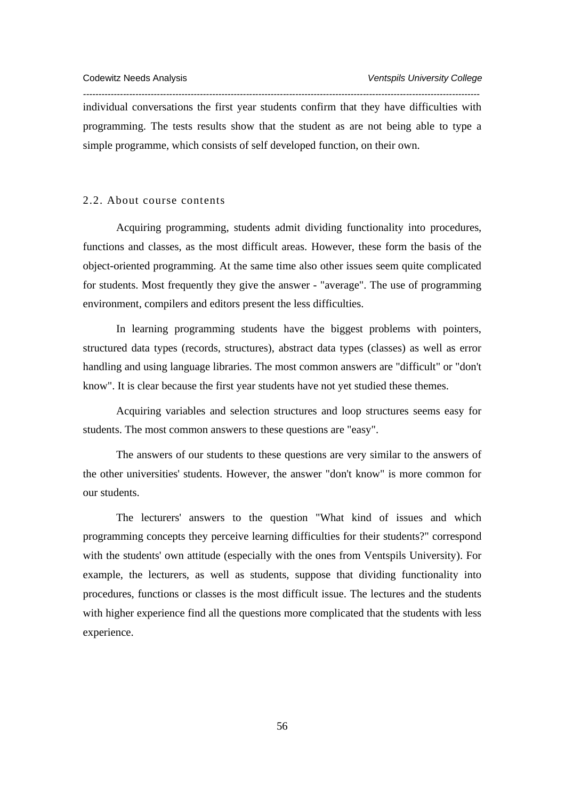individual conversations the first year students confirm that they have difficulties with programming. The tests results show that the student as are not being able to type a simple programme, which consists of self developed function, on their own.

*---------------------------------------------------------------------------------------------------------------------------------* 

#### 2.2. About course contents

Acquiring programming, students admit dividing functionality into procedures, functions and classes, as the most difficult areas. However, these form the basis of the object-oriented programming. At the same time also other issues seem quite complicated for students. Most frequently they give the answer - "average". The use of programming environment, compilers and editors present the less difficulties.

In learning programming students have the biggest problems with pointers, structured data types (records, structures), abstract data types (classes) as well as error handling and using language libraries. The most common answers are "difficult" or "don't know". It is clear because the first year students have not yet studied these themes.

Acquiring variables and selection structures and loop structures seems easy for students. The most common answers to these questions are "easy".

The answers of our students to these questions are very similar to the answers of the other universities' students. However, the answer "don't know" is more common for our students.

The lecturers' answers to the question "What kind of issues and which programming concepts they perceive learning difficulties for their students?" correspond with the students' own attitude (especially with the ones from Ventspils University). For example, the lecturers, as well as students, suppose that dividing functionality into procedures, functions or classes is the most difficult issue. The lectures and the students with higher experience find all the questions more complicated that the students with less experience.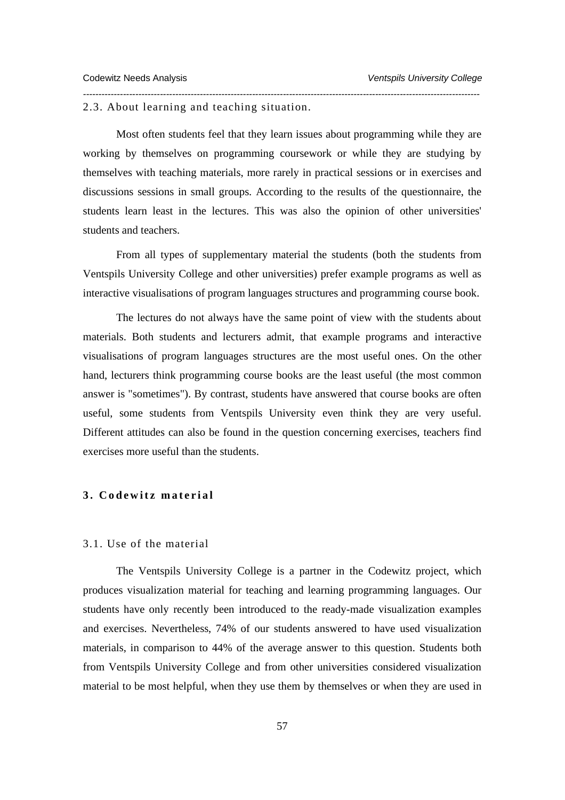2.3. About learning and teaching situation.

Most often students feel that they learn issues about programming while they are working by themselves on programming coursework or while they are studying by themselves with teaching materials, more rarely in practical sessions or in exercises and discussions sessions in small groups. According to the results of the questionnaire, the students learn least in the lectures. This was also the opinion of other universities' students and teachers.

*---------------------------------------------------------------------------------------------------------------------------------* 

From all types of supplementary material the students (both the students from Ventspils University College and other universities) prefer example programs as well as interactive visualisations of program languages structures and programming course book.

The lectures do not always have the same point of view with the students about materials. Both students and lecturers admit, that example programs and interactive visualisations of program languages structures are the most useful ones. On the other hand, lecturers think programming course books are the least useful (the most common answer is "sometimes"). By contrast, students have answered that course books are often useful, some students from Ventspils University even think they are very useful. Different attitudes can also be found in the question concerning exercises, teachers find exercises more useful than the students.

# **3. Codewitz material**

#### 3.1. Use of the material

The Ventspils University College is a partner in the Codewitz project, which produces visualization material for teaching and learning programming languages. Our students have only recently been introduced to the ready-made visualization examples and exercises. Nevertheless, 74% of our students answered to have used visualization materials, in comparison to 44% of the average answer to this question. Students both from Ventspils University College and from other universities considered visualization material to be most helpful, when they use them by themselves or when they are used in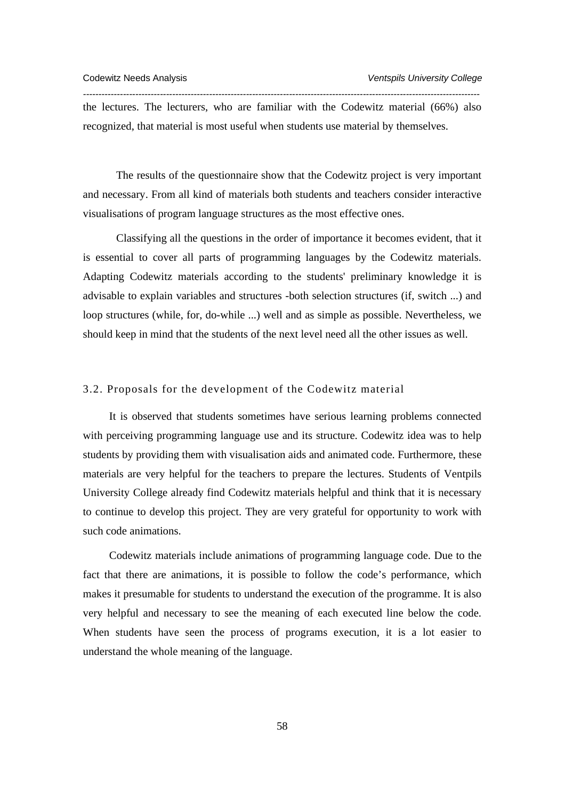the lectures. The lecturers, who are familiar with the Codewitz material (66%) also recognized, that material is most useful when students use material by themselves.

*---------------------------------------------------------------------------------------------------------------------------------* 

The results of the questionnaire show that the Codewitz project is very important and necessary. From all kind of materials both students and teachers consider interactive visualisations of program language structures as the most effective ones.

Classifying all the questions in the order of importance it becomes evident, that it is essential to cover all parts of programming languages by the Codewitz materials. Adapting Codewitz materials according to the students' preliminary knowledge it is advisable to explain variables and structures -both selection structures (if, switch ...) and loop structures (while, for, do-while ...) well and as simple as possible. Nevertheless, we should keep in mind that the students of the next level need all the other issues as well.

# 3.2. Proposals for the development of the Codewitz material

It is observed that students sometimes have serious learning problems connected with perceiving programming language use and its structure. Codewitz idea was to help students by providing them with visualisation aids and animated code. Furthermore, these materials are very helpful for the teachers to prepare the lectures. Students of Ventpils University College already find Codewitz materials helpful and think that it is necessary to continue to develop this project. They are very grateful for opportunity to work with such code animations.

Codewitz materials include animations of programming language code. Due to the fact that there are animations, it is possible to follow the code's performance, which makes it presumable for students to understand the execution of the programme. It is also very helpful and necessary to see the meaning of each executed line below the code. When students have seen the process of programs execution, it is a lot easier to understand the whole meaning of the language.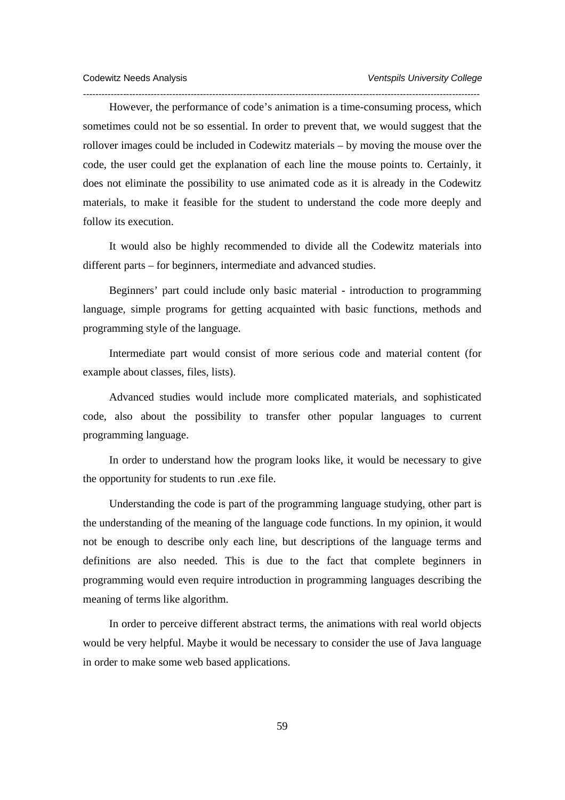However, the performance of code's animation is a time-consuming process, which sometimes could not be so essential. In order to prevent that, we would suggest that the rollover images could be included in Codewitz materials – by moving the mouse over the code, the user could get the explanation of each line the mouse points to. Certainly, it does not eliminate the possibility to use animated code as it is already in the Codewitz materials, to make it feasible for the student to understand the code more deeply and follow its execution.

*---------------------------------------------------------------------------------------------------------------------------------* 

It would also be highly recommended to divide all the Codewitz materials into different parts – for beginners, intermediate and advanced studies.

Beginners' part could include only basic material - introduction to programming language, simple programs for getting acquainted with basic functions, methods and programming style of the language.

Intermediate part would consist of more serious code and material content (for example about classes, files, lists).

Advanced studies would include more complicated materials, and sophisticated code, also about the possibility to transfer other popular languages to current programming language.

In order to understand how the program looks like, it would be necessary to give the opportunity for students to run .exe file.

Understanding the code is part of the programming language studying, other part is the understanding of the meaning of the language code functions. In my opinion, it would not be enough to describe only each line, but descriptions of the language terms and definitions are also needed. This is due to the fact that complete beginners in programming would even require introduction in programming languages describing the meaning of terms like algorithm.

In order to perceive different abstract terms, the animations with real world objects would be very helpful. Maybe it would be necessary to consider the use of Java language in order to make some web based applications.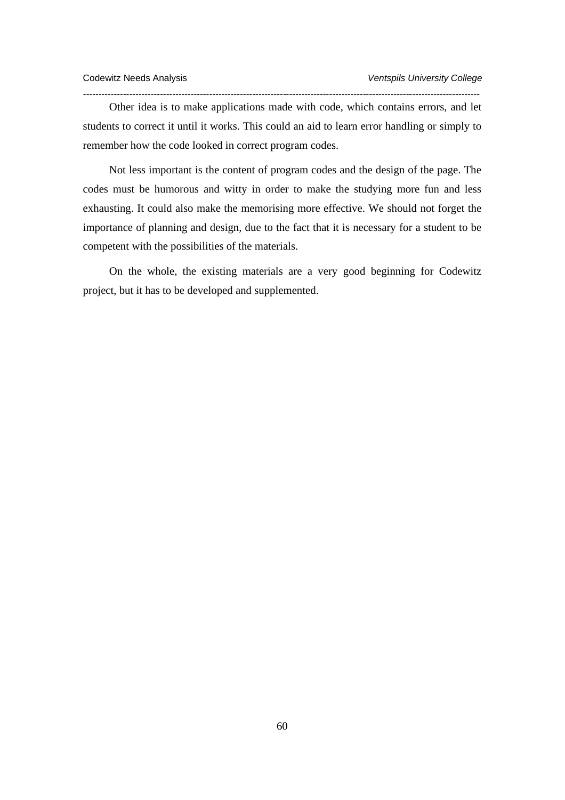Other idea is to make applications made with code, which contains errors, and let students to correct it until it works. This could an aid to learn error handling or simply to remember how the code looked in correct program codes.

*---------------------------------------------------------------------------------------------------------------------------------* 

Not less important is the content of program codes and the design of the page. The codes must be humorous and witty in order to make the studying more fun and less exhausting. It could also make the memorising more effective. We should not forget the importance of planning and design, due to the fact that it is necessary for a student to be competent with the possibilities of the materials.

On the whole, the existing materials are a very good beginning for Codewitz project, but it has to be developed and supplemented.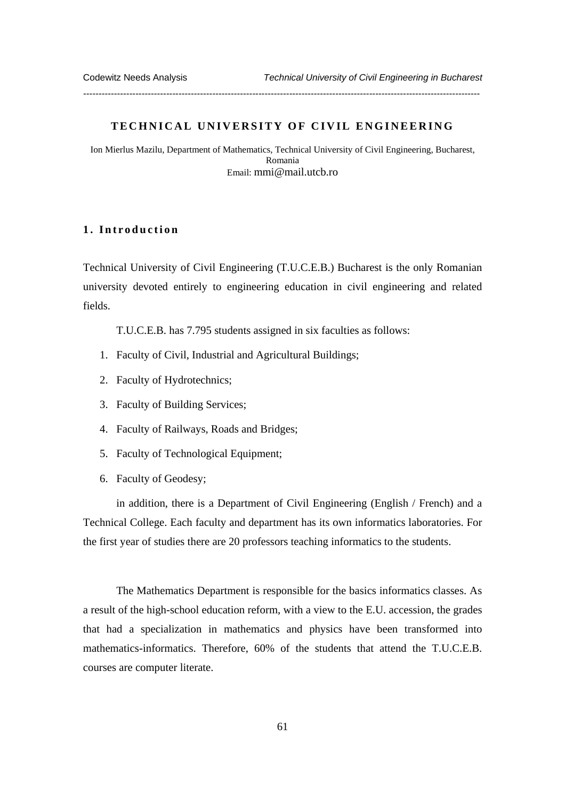#### **TECHNICAL UNIVERSITY OF CIVIL ENGINEERING**

*---------------------------------------------------------------------------------------------------------------------------------* 

Ion Mierlus Mazilu, Department of Mathematics, Technical University of Civil Engineering, Bucharest, Romania Email: mmi@mail.utcb.ro

# **1. Introduction**

Technical University of Civil Engineering (T.U.C.E.B.) Bucharest is the only Romanian university devoted entirely to engineering education in civil engineering and related fields.

T.U.C.E.B. has 7.795 students assigned in six faculties as follows:

- 1. Faculty of Civil, Industrial and Agricultural Buildings;
- 2. Faculty of Hydrotechnics;
- 3. Faculty of Building Services;
- 4. Faculty of Railways, Roads and Bridges;
- 5. Faculty of Technological Equipment;
- 6. Faculty of Geodesy;

in addition, there is a Department of Civil Engineering (English / French) and a Technical College. Each faculty and department has its own informatics laboratories. For the first year of studies there are 20 professors teaching informatics to the students.

The Mathematics Department is responsible for the basics informatics classes. As a result of the high-school education reform, with a view to the E.U. accession, the grades that had a specialization in mathematics and physics have been transformed into mathematics-informatics. Therefore, 60% of the students that attend the T.U.C.E.B. courses are computer literate.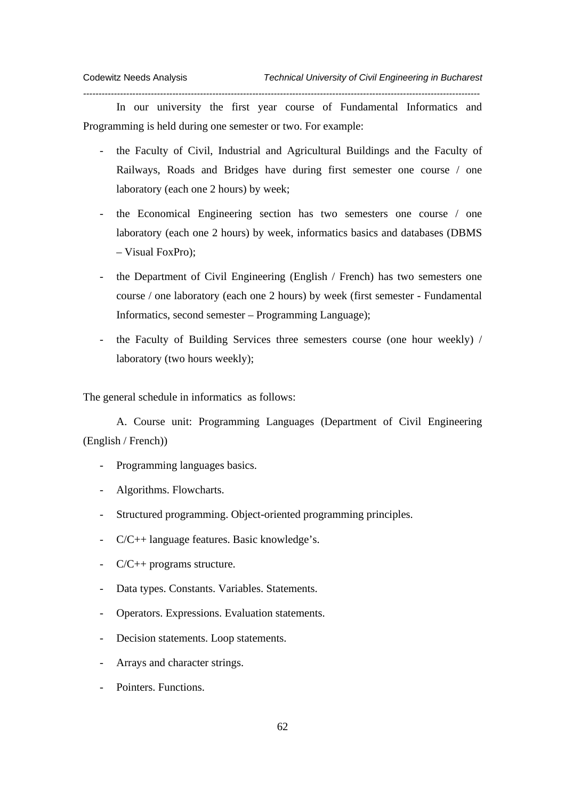In our university the first year course of Fundamental Informatics and Programming is held during one semester or two. For example:

*---------------------------------------------------------------------------------------------------------------------------------* 

- the Faculty of Civil, Industrial and Agricultural Buildings and the Faculty of Railways, Roads and Bridges have during first semester one course / one laboratory (each one 2 hours) by week;
- the Economical Engineering section has two semesters one course / one laboratory (each one 2 hours) by week, informatics basics and databases (DBMS – Visual FoxPro);
- the Department of Civil Engineering (English / French) has two semesters one course / one laboratory (each one 2 hours) by week (first semester - Fundamental Informatics, second semester – Programming Language);
- the Faculty of Building Services three semesters course (one hour weekly) / laboratory (two hours weekly);

The general schedule in informatics as follows:

A. Course unit: Programming Languages (Department of Civil Engineering (English / French))

- Programming languages basics.
- Algorithms. Flowcharts.
- Structured programming. Object-oriented programming principles.
- C/C++ language features. Basic knowledge's.
- C/C++ programs structure.
- Data types. Constants. Variables. Statements.
- Operators. Expressions. Evaluation statements.
- Decision statements. Loop statements.
- Arrays and character strings.
- Pointers. Functions.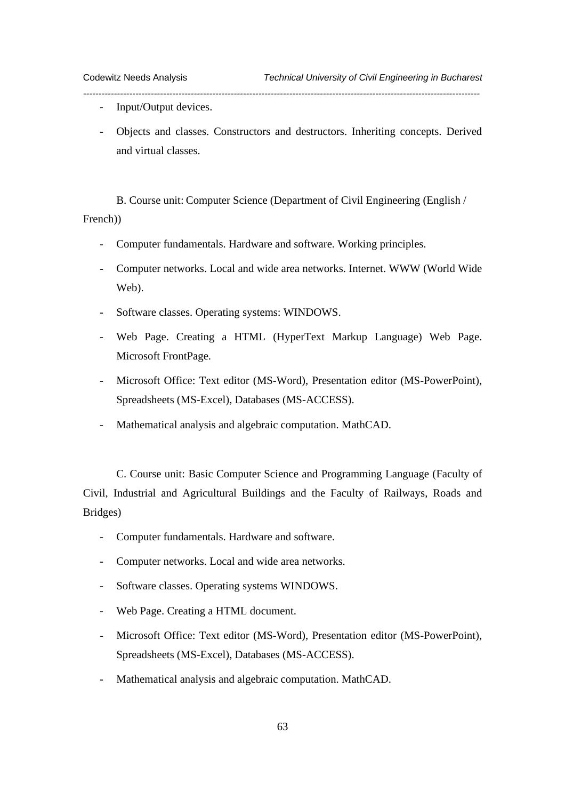- Input/Output devices.
- Objects and classes. Constructors and destructors. Inheriting concepts. Derived and virtual classes.

*---------------------------------------------------------------------------------------------------------------------------------* 

B. Course unit: Computer Science (Department of Civil Engineering (English /

French))

- Computer fundamentals. Hardware and software. Working principles.
- Computer networks. Local and wide area networks. Internet. WWW (World Wide Web).
- Software classes. Operating systems: WINDOWS.
- Web Page. Creating a HTML (HyperText Markup Language) Web Page. Microsoft FrontPage.
- Microsoft Office: Text editor (MS-Word), Presentation editor (MS-PowerPoint), Spreadsheets (MS-Excel), Databases (MS-ACCESS).
- Mathematical analysis and algebraic computation. MathCAD.

C. Course unit: Basic Computer Science and Programming Language (Faculty of Civil, Industrial and Agricultural Buildings and the Faculty of Railways, Roads and Bridges)

- Computer fundamentals. Hardware and software.
- Computer networks. Local and wide area networks.
- Software classes. Operating systems WINDOWS.
- Web Page. Creating a HTML document.
- Microsoft Office: Text editor (MS-Word), Presentation editor (MS-PowerPoint), Spreadsheets (MS-Excel), Databases (MS-ACCESS).
- Mathematical analysis and algebraic computation. MathCAD.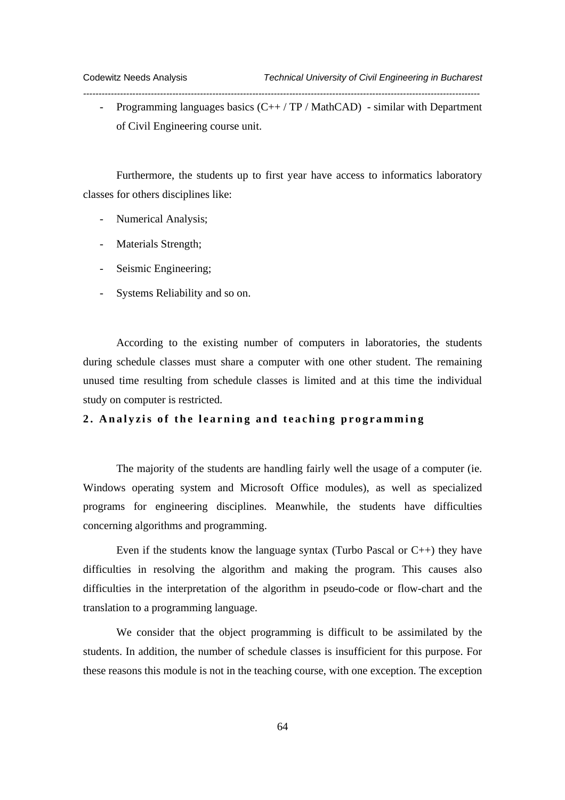- Programming languages basics  $(C++/TP/MathCAD)$  - similar with Department of Civil Engineering course unit.

*---------------------------------------------------------------------------------------------------------------------------------* 

Furthermore, the students up to first year have access to informatics laboratory classes for others disciplines like:

- Numerical Analysis;
- Materials Strength;
- Seismic Engineering;
- Systems Reliability and so on.

According to the existing number of computers in laboratories, the students during schedule classes must share a computer with one other student. The remaining unused time resulting from schedule classes is limited and at this time the individual study on computer is restricted.

# **2. Analyzis of the learning and teaching programming**

The majority of the students are handling fairly well the usage of a computer (ie. Windows operating system and Microsoft Office modules), as well as specialized programs for engineering disciplines. Meanwhile, the students have difficulties concerning algorithms and programming.

Even if the students know the language syntax (Turbo Pascal or C++) they have difficulties in resolving the algorithm and making the program. This causes also difficulties in the interpretation of the algorithm in pseudo-code or flow-chart and the translation to a programming language.

We consider that the object programming is difficult to be assimilated by the students. In addition, the number of schedule classes is insufficient for this purpose. For these reasons this module is not in the teaching course, with one exception. The exception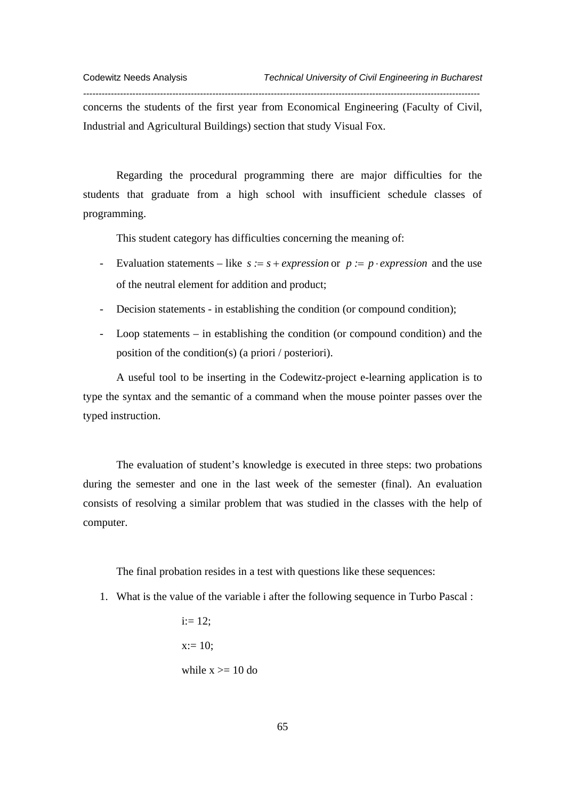concerns the students of the first year from Economical Engineering (Faculty of Civil, Industrial and Agricultural Buildings) section that study Visual Fox.

*---------------------------------------------------------------------------------------------------------------------------------* 

Regarding the procedural programming there are major difficulties for the students that graduate from a high school with insufficient schedule classes of programming.

This student category has difficulties concerning the meaning of:

- Evaluation statements like *s :*= *s* + *expression* or *p :*= *p* ⋅ *expression* and the use of the neutral element for addition and product;
- Decision statements in establishing the condition (or compound condition);
- Loop statements in establishing the condition (or compound condition) and the position of the condition(s) (a priori / posteriori).

A useful tool to be inserting in the Codewitz-project e-learning application is to type the syntax and the semantic of a command when the mouse pointer passes over the typed instruction.

The evaluation of student's knowledge is executed in three steps: two probations during the semester and one in the last week of the semester (final). An evaluation consists of resolving a similar problem that was studied in the classes with the help of computer.

The final probation resides in a test with questions like these sequences:

- 1. What is the value of the variable i after the following sequence in Turbo Pascal :
	- $i := 12$ :  $x:= 10$ : while  $x \geq 10$  do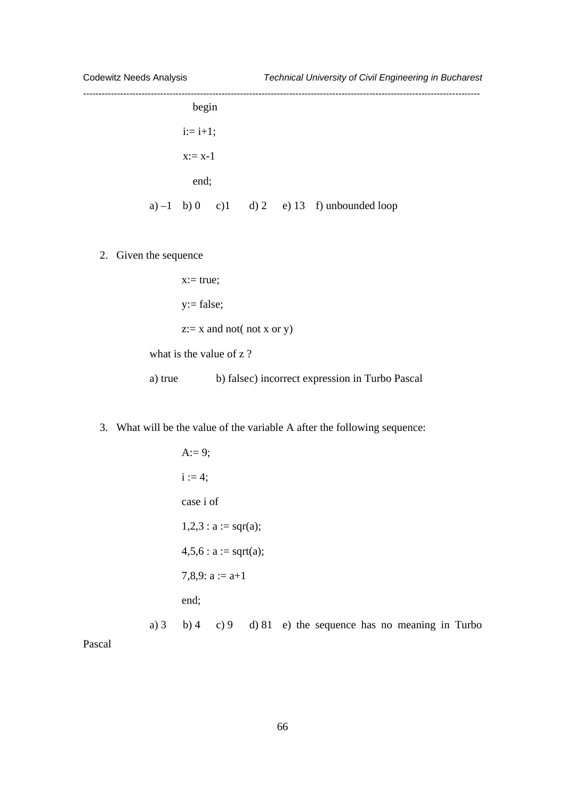| begin       |  |                                                |  |
|-------------|--|------------------------------------------------|--|
| $i := i+1;$ |  |                                                |  |
| $x:= x-1$   |  |                                                |  |
| end;        |  |                                                |  |
|             |  | a) $-1$ b) 0 c) 1 d) 2 e) 13 f) unbounded loop |  |

2. Given the sequence

 $x:= true;$ y:= false;  $z:= x$  and not( not x or y) what is the value of z?

a) true b) false c) incorrect expression in Turbo Pascal

3. What will be the value of the variable A after the following sequence:

```
A:= 9;
       i := 4;
       case i of 
       1,2,3 : a := \text{sqr}(a);4,5,6 : a := sqrt(a);7,8,9: a := a+1end; 
a) 3 b) 4 c) 9 d) 81 e) the sequence has no meaning in Turbo
```
Pascal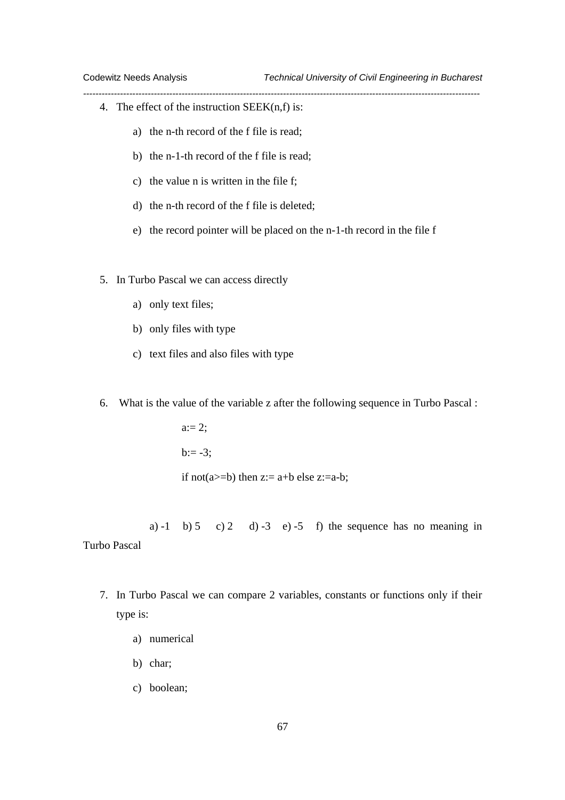- 4. The effect of the instruction  $SEEK(n,f)$  is:
	- a) the n-th record of the f file is read;
	- b) the n-1-th record of the f file is read;
	- c) the value n is written in the file f;
	- d) the n-th record of the f file is deleted;
	- e) the record pointer will be placed on the n-1-th record in the file f

*---------------------------------------------------------------------------------------------------------------------------------* 

- 5. In Turbo Pascal we can access directly
	- a) only text files;
	- b) only files with type
	- c) text files and also files with type
- 6. What is the value of the variable z after the following sequence in Turbo Pascal :

 $a:= 2;$  $b := -3$ ; if not(a>=b) then  $z:= a+b$  else  $z:= a-b$ ;

a)  $-1$  b)  $5$  c)  $2$  d)  $-3$  e)  $-5$  f) the sequence has no meaning in Turbo Pascal

- 7. In Turbo Pascal we can compare 2 variables, constants or functions only if their
	- type is:
		- a) numerical
		- b) char;
		- c) boolean;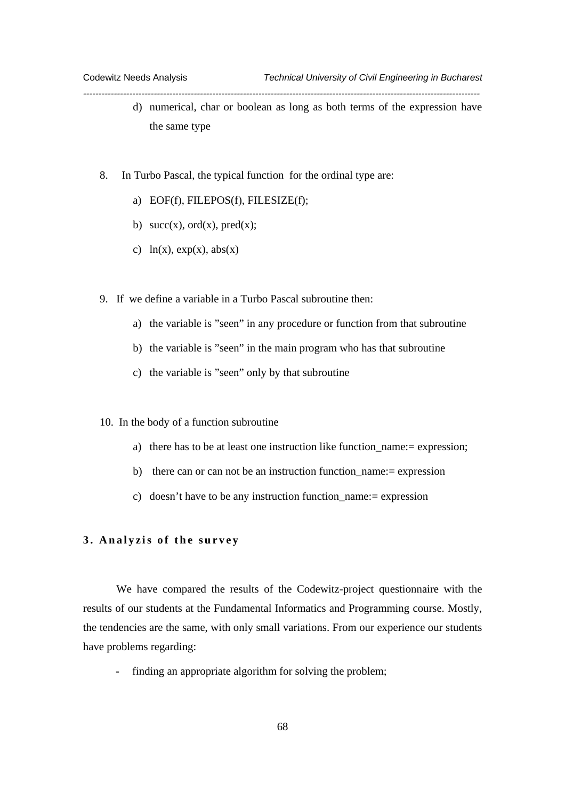d) numerical, char or boolean as long as both terms of the expression have the same type

*---------------------------------------------------------------------------------------------------------------------------------* 

- 8. In Turbo Pascal, the typical function for the ordinal type are:
	- a) EOF(f), FILEPOS(f), FILESIZE(f);
	- b)  $succ(x)$ ,  $ord(x)$ ,  $pred(x)$ ;
	- c)  $ln(x)$ ,  $exp(x)$ ,  $abs(x)$
- 9. If we define a variable in a Turbo Pascal subroutine then:
	- a) the variable is "seen" in any procedure or function from that subroutine
	- b) the variable is "seen" in the main program who has that subroutine
	- c) the variable is "seen" only by that subroutine
- 10. In the body of a function subroutine
	- a) there has to be at least one instruction like function name:= expression;
	- b) there can or can not be an instruction function\_name:= expression
	- c) doesn't have to be any instruction function\_name:= expression

# **3. Analyzis of the survey**

We have compared the results of the Codewitz-project questionnaire with the results of our students at the Fundamental Informatics and Programming course. Mostly, the tendencies are the same, with only small variations. From our experience our students have problems regarding:

finding an appropriate algorithm for solving the problem;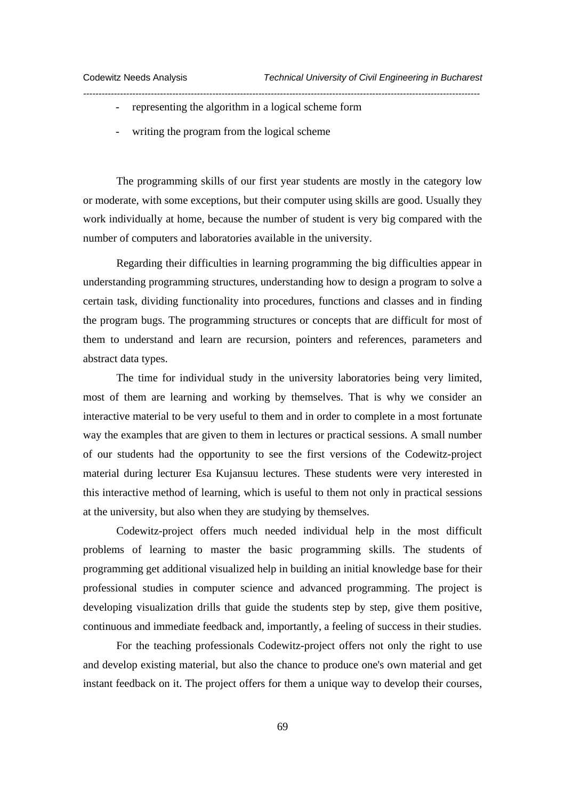- representing the algorithm in a logical scheme form
- writing the program from the logical scheme

The programming skills of our first year students are mostly in the category low or moderate, with some exceptions, but their computer using skills are good. Usually they work individually at home, because the number of student is very big compared with the number of computers and laboratories available in the university.

*---------------------------------------------------------------------------------------------------------------------------------* 

Regarding their difficulties in learning programming the big difficulties appear in understanding programming structures, understanding how to design a program to solve a certain task, dividing functionality into procedures, functions and classes and in finding the program bugs. The programming structures or concepts that are difficult for most of them to understand and learn are recursion, pointers and references, parameters and abstract data types.

The time for individual study in the university laboratories being very limited, most of them are learning and working by themselves. That is why we consider an interactive material to be very useful to them and in order to complete in a most fortunate way the examples that are given to them in lectures or practical sessions. A small number of our students had the opportunity to see the first versions of the Codewitz-project material during lecturer Esa Kujansuu lectures. These students were very interested in this interactive method of learning, which is useful to them not only in practical sessions at the university, but also when they are studying by themselves.

Codewitz-project offers much needed individual help in the most difficult problems of learning to master the basic programming skills. The students of programming get additional visualized help in building an initial knowledge base for their professional studies in computer science and advanced programming. The project is developing visualization drills that guide the students step by step, give them positive, continuous and immediate feedback and, importantly, a feeling of success in their studies.

For the teaching professionals Codewitz-project offers not only the right to use and develop existing material, but also the chance to produce one's own material and get instant feedback on it. The project offers for them a unique way to develop their courses,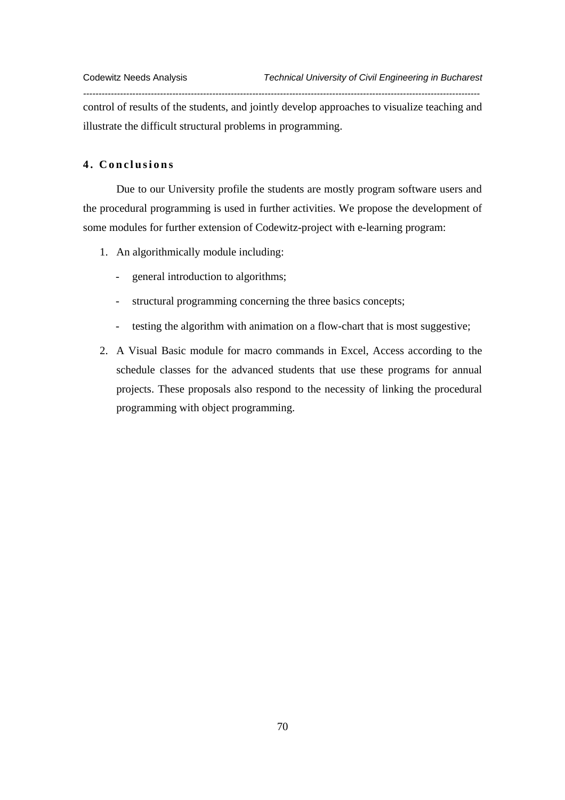control of results of the students, and jointly develop approaches to visualize teaching and illustrate the difficult structural problems in programming.

*---------------------------------------------------------------------------------------------------------------------------------* 

# **4. Conclusions**

Due to our University profile the students are mostly program software users and the procedural programming is used in further activities. We propose the development of some modules for further extension of Codewitz-project with e-learning program:

- 1. An algorithmically module including:
	- general introduction to algorithms;
	- structural programming concerning the three basics concepts;
	- testing the algorithm with animation on a flow-chart that is most suggestive;
- 2. A Visual Basic module for macro commands in Excel, Access according to the schedule classes for the advanced students that use these programs for annual projects. These proposals also respond to the necessity of linking the procedural programming with object programming.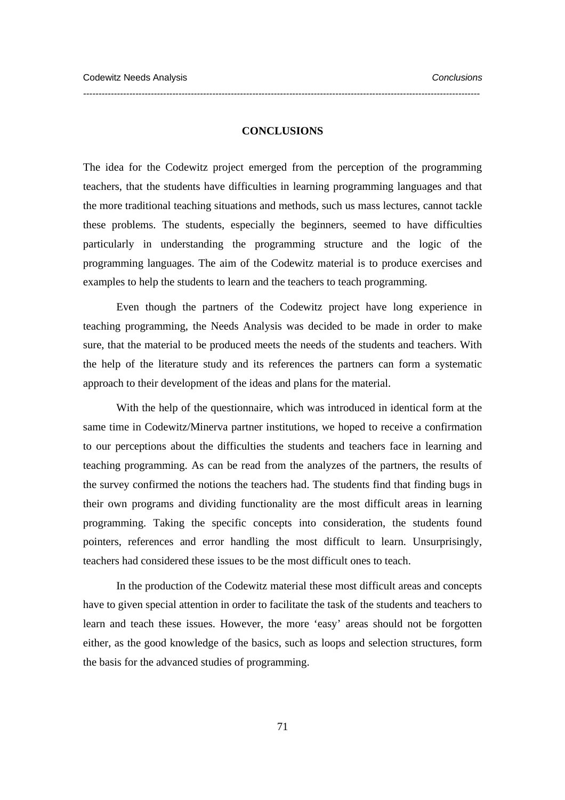#### **CONCLUSIONS**

*---------------------------------------------------------------------------------------------------------------------------------* 

The idea for the Codewitz project emerged from the perception of the programming teachers, that the students have difficulties in learning programming languages and that the more traditional teaching situations and methods, such us mass lectures, cannot tackle these problems. The students, especially the beginners, seemed to have difficulties particularly in understanding the programming structure and the logic of the programming languages. The aim of the Codewitz material is to produce exercises and examples to help the students to learn and the teachers to teach programming.

 Even though the partners of the Codewitz project have long experience in teaching programming, the Needs Analysis was decided to be made in order to make sure, that the material to be produced meets the needs of the students and teachers. With the help of the literature study and its references the partners can form a systematic approach to their development of the ideas and plans for the material.

With the help of the questionnaire, which was introduced in identical form at the same time in Codewitz/Minerva partner institutions, we hoped to receive a confirmation to our perceptions about the difficulties the students and teachers face in learning and teaching programming. As can be read from the analyzes of the partners, the results of the survey confirmed the notions the teachers had. The students find that finding bugs in their own programs and dividing functionality are the most difficult areas in learning programming. Taking the specific concepts into consideration, the students found pointers, references and error handling the most difficult to learn. Unsurprisingly, teachers had considered these issues to be the most difficult ones to teach.

In the production of the Codewitz material these most difficult areas and concepts have to given special attention in order to facilitate the task of the students and teachers to learn and teach these issues. However, the more 'easy' areas should not be forgotten either, as the good knowledge of the basics, such as loops and selection structures, form the basis for the advanced studies of programming.